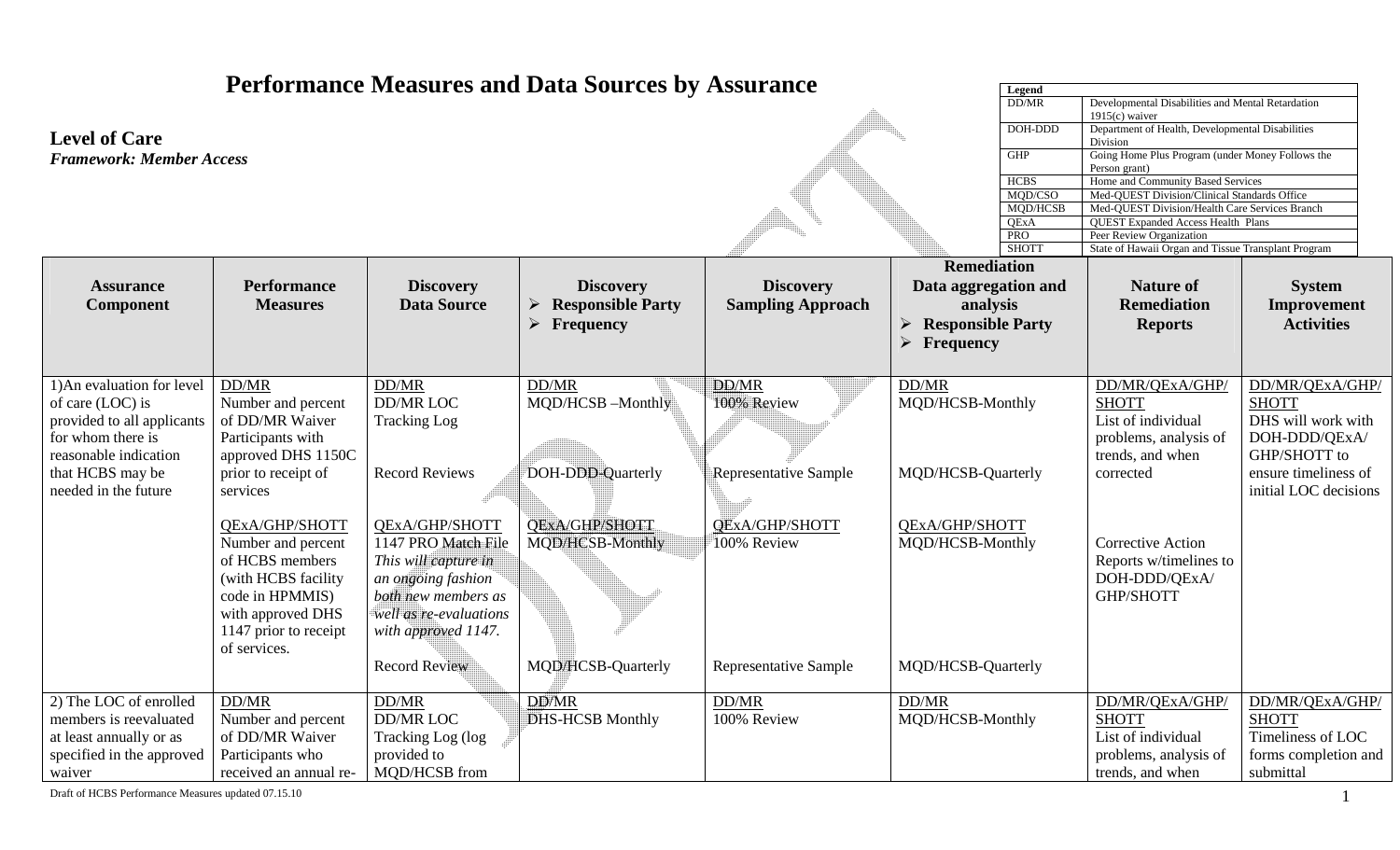|                                                     |                        |                        | <b>Performance Measures and Data Sources by Assurance</b> |                              |                                    | Legend       |                                                                   |                       |
|-----------------------------------------------------|------------------------|------------------------|-----------------------------------------------------------|------------------------------|------------------------------------|--------------|-------------------------------------------------------------------|-----------------------|
|                                                     |                        |                        |                                                           |                              |                                    | DD/MR        | Developmental Disabilities and Mental Retardation                 |                       |
|                                                     |                        |                        |                                                           |                              |                                    |              | $1915(c)$ waiver                                                  |                       |
| <b>Level of Care</b>                                |                        |                        |                                                           |                              |                                    | DOH-DDD      | Department of Health, Developmental Disabilities                  |                       |
|                                                     |                        |                        |                                                           |                              |                                    |              | Division                                                          |                       |
| <b>Framework: Member Access</b>                     |                        |                        |                                                           |                              |                                    | GHP          | Going Home Plus Program (under Money Follows the<br>Person grant) |                       |
|                                                     |                        |                        |                                                           |                              |                                    | <b>HCBS</b>  | Home and Community Based Services                                 |                       |
|                                                     |                        |                        |                                                           |                              |                                    | MQD/CSO      | Med-OUEST Division/Clinical Standards Office                      |                       |
|                                                     |                        |                        |                                                           |                              |                                    | MQD/HCSB     | Med-QUEST Division/Health Care Services Branch                    |                       |
|                                                     |                        |                        |                                                           |                              |                                    | QExA         | <b>QUEST Expanded Access Health Plans</b>                         |                       |
|                                                     |                        |                        |                                                           |                              | <b>PRO</b>                         |              | Peer Review Organization                                          |                       |
|                                                     |                        |                        |                                                           |                              |                                    | <b>SHOTT</b> | State of Hawaii Organ and Tissue Transplant Program               |                       |
|                                                     |                        |                        |                                                           |                              | <b>Remediation</b>                 |              |                                                                   |                       |
| <b>Assurance</b>                                    | <b>Performance</b>     | <b>Discovery</b>       | <b>Discovery</b>                                          | <b>Discovery</b>             | Data aggregation and               |              | <b>Nature of</b>                                                  | <b>System</b>         |
| <b>Component</b>                                    | <b>Measures</b>        | <b>Data Source</b>     | <b>Responsible Party</b>                                  | <b>Sampling Approach</b>     | analysis                           |              | <b>Remediation</b>                                                | Improvement           |
|                                                     |                        |                        |                                                           |                              |                                    |              |                                                                   |                       |
|                                                     |                        |                        | Frequency                                                 |                              | <b>Responsible Party</b>           |              | <b>Reports</b>                                                    | <b>Activities</b>     |
|                                                     |                        |                        |                                                           |                              | $\blacktriangleright$<br>Frequency |              |                                                                   |                       |
|                                                     |                        |                        |                                                           |                              |                                    |              |                                                                   |                       |
| 1) An evaluation for level                          | DD/MR                  |                        | DD/MR                                                     |                              |                                    |              |                                                                   |                       |
|                                                     |                        | DD/MR                  |                                                           | <b>DD/MR</b>                 | DD/MR                              |              | DD/MR/QExA/GHP/                                                   | DD/MR/QExA/GHP/       |
| of care (LOC) is                                    | Number and percent     | <b>DD/MR LOC</b>       | MQD/HCSB-Monthly                                          | 100% Review                  | MQD/HCSB-Monthly                   |              | <b>SHOTT</b>                                                      | <b>SHOTT</b>          |
| provided to all applicants                          | of DD/MR Waiver        | <b>Tracking Log</b>    |                                                           |                              |                                    |              | List of individual                                                | DHS will work with    |
| for whom there is                                   | Participants with      |                        |                                                           |                              |                                    |              | problems, analysis of                                             | DOH-DDD/QExA/         |
| reasonable indication                               | approved DHS 1150C     |                        |                                                           |                              |                                    |              | trends, and when                                                  | GHP/SHOTT to          |
| that HCBS may be                                    | prior to receipt of    | <b>Record Reviews</b>  | DOH-DDD-Quarterly                                         | <b>Representative Sample</b> | MQD/HCSB-Quarterly                 |              | corrected                                                         | ensure timeliness of  |
| needed in the future                                | services               |                        |                                                           |                              |                                    |              |                                                                   | initial LOC decisions |
|                                                     |                        |                        |                                                           |                              |                                    |              |                                                                   |                       |
|                                                     |                        |                        |                                                           |                              |                                    |              |                                                                   |                       |
|                                                     | <b>QExA/GHP/SHOTT</b>  | <b>QExA/GHP/SHOTT</b>  | <b>OExA/GHP/SHOTT</b>                                     | <b>QExA/GHP/SHOTT</b>        | <b>QExA/GHP/SHOTT</b>              |              |                                                                   |                       |
|                                                     | Number and percent     | 1147 PRO Match File    | MQD/HCSB-Monthly                                          | 100% Review                  | MQD/HCSB-Monthly                   |              | <b>Corrective Action</b>                                          |                       |
|                                                     | of HCBS members        | This will capture in   |                                                           |                              |                                    |              | Reports w/timelines to                                            |                       |
|                                                     | (with HCBS facility)   | an ongoing fashion     |                                                           |                              |                                    |              | DOH-DDD/QExA/                                                     |                       |
|                                                     | code in HPMMIS)        | both new members as    |                                                           |                              |                                    |              | GHP/SHOTT                                                         |                       |
|                                                     | with approved DHS      | well as re-evaluations |                                                           |                              |                                    |              |                                                                   |                       |
|                                                     |                        |                        |                                                           |                              |                                    |              |                                                                   |                       |
|                                                     | 1147 prior to receipt  | with approved 1147.    |                                                           |                              |                                    |              |                                                                   |                       |
|                                                     | of services.           |                        |                                                           |                              |                                    |              |                                                                   |                       |
|                                                     |                        | <b>Record Review</b>   | MQD/HCSB-Quarterly                                        | <b>Representative Sample</b> | MQD/HCSB-Quarterly                 |              |                                                                   |                       |
|                                                     |                        |                        |                                                           |                              |                                    |              |                                                                   |                       |
| 2) The LOC of enrolled                              | DD/MR                  | DD/MR                  | <b>DD/MR</b>                                              | DD/MR                        | DD/MR                              |              | DD/MR/QExA/GHP/                                                   | DD/MR/QExA/GHP/       |
| members is reevaluated                              | Number and percent     | <b>DD/MR LOC</b>       | <b>DHS-HCSB Monthly</b>                                   | 100% Review                  | MQD/HCSB-Monthly                   |              | <b>SHOTT</b>                                                      | <b>SHOTT</b>          |
| at least annually or as                             | of DD/MR Waiver        | Tracking Log (log      |                                                           |                              |                                    |              | List of individual                                                | Timeliness of LOC     |
| specified in the approved                           | Participants who       | provided to            |                                                           |                              |                                    |              | problems, analysis of                                             | forms completion and  |
| waiver                                              | received an annual re- | MQD/HCSB from          |                                                           |                              |                                    |              | trends, and when                                                  | submittal             |
|                                                     |                        |                        |                                                           |                              |                                    |              |                                                                   |                       |
| Draft of HCBS Performance Measures updated 07.15.10 |                        |                        |                                                           |                              |                                    |              |                                                                   |                       |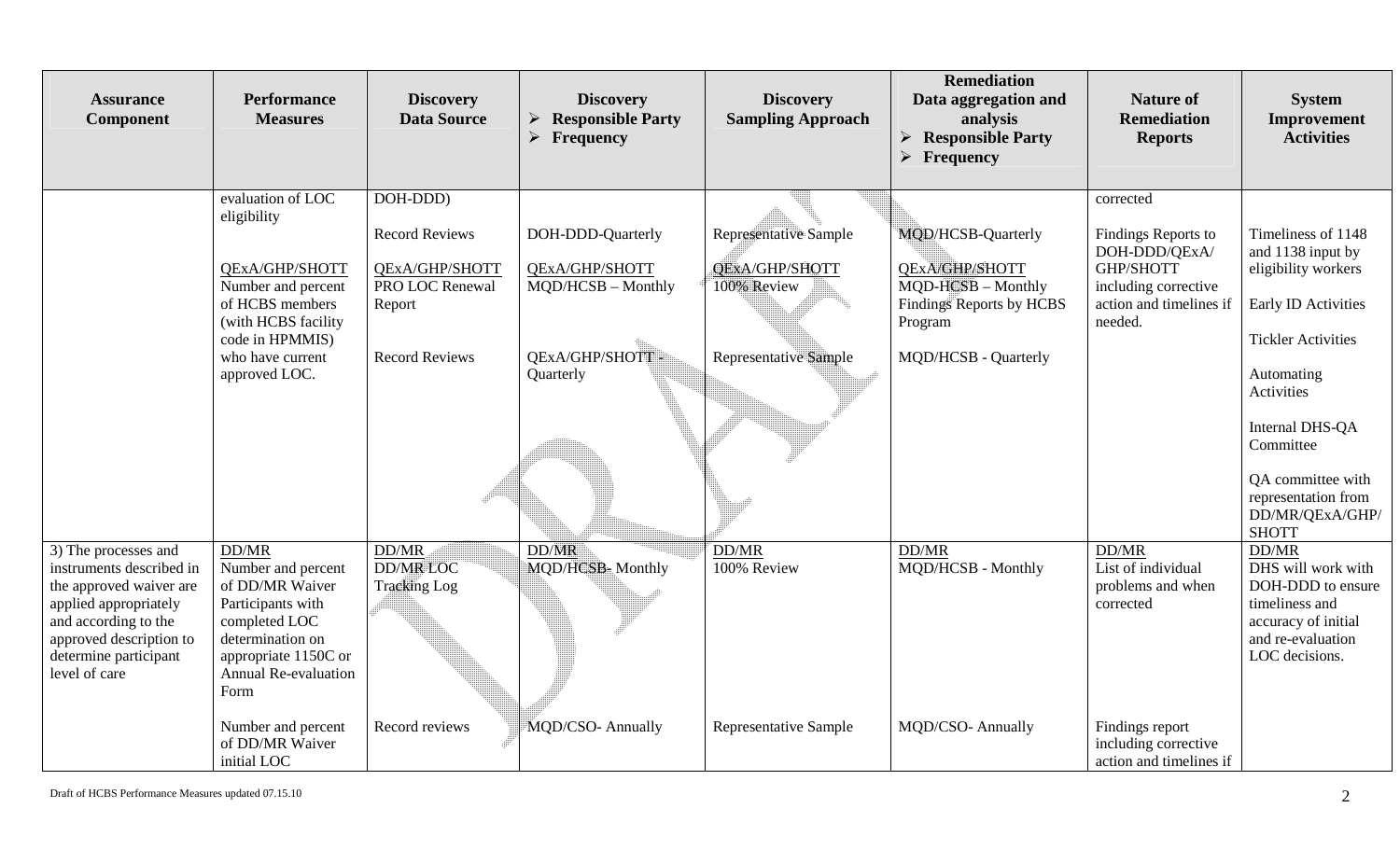| <b>Assurance</b><br>Component                                                                                                                                                                     | <b>Performance</b><br><b>Measures</b>                                                                                                                                                                            | <b>Discovery</b><br><b>Data Source</b>                                                                    | <b>Discovery</b><br><b>Responsible Party</b><br>$\blacktriangleright$<br>Frequency       | <b>Discovery</b><br><b>Sampling Approach</b>                                           | <b>Remediation</b><br>Data aggregation and<br>analysis<br><b>Responsible Party</b><br>$\blacktriangleright$<br>$\blacktriangleright$<br>Frequency | <b>Nature of</b><br><b>Remediation</b><br><b>Reports</b>                                                                            | <b>System</b><br>Improvement<br><b>Activities</b>                                                                                                                                                                                                             |
|---------------------------------------------------------------------------------------------------------------------------------------------------------------------------------------------------|------------------------------------------------------------------------------------------------------------------------------------------------------------------------------------------------------------------|-----------------------------------------------------------------------------------------------------------|------------------------------------------------------------------------------------------|----------------------------------------------------------------------------------------|---------------------------------------------------------------------------------------------------------------------------------------------------|-------------------------------------------------------------------------------------------------------------------------------------|---------------------------------------------------------------------------------------------------------------------------------------------------------------------------------------------------------------------------------------------------------------|
|                                                                                                                                                                                                   | evaluation of LOC<br>eligibility<br>QExA/GHP/SHOTT<br>Number and percent<br>of HCBS members<br>(with HCBS facility)<br>code in HPMMIS)<br>who have current<br>approved LOC.                                      | DOH-DDD)<br><b>Record Reviews</b><br>QExA/GHP/SHOTT<br>PRO LOC Renewal<br>Report<br><b>Record Reviews</b> | DOH-DDD-Quarterly<br>QExA/GHP/SHOTT<br>MQD/HCSB - Monthly<br>QExA/GHP/SHOTT<br>Quarterly | Representative Sample<br>QExA/GHP/SHOTT<br>100% Review<br><b>Representative Sample</b> | <b>MQD/HCSB-Quarterly</b><br><b>QExA/GHP/SHOTT</b><br>$MQD-HCSB - Monthly$<br><b>Findings Reports by HCBS</b><br>Program<br>MQD/HCSB - Quarterly  | corrected<br>Findings Reports to<br>DOH-DDD/QExA/<br><b>GHP/SHOTT</b><br>including corrective<br>action and timelines if<br>needed. | Timeliness of 1148<br>and 1138 input by<br>eligibility workers<br>Early ID Activities<br><b>Tickler Activities</b><br>Automating<br>Activities<br>Internal DHS-QA<br>Committee<br>QA committee with<br>representation from<br>DD/MR/QExA/GHP/<br><b>SHOTT</b> |
| 3) The processes and<br>instruments described in<br>the approved waiver are<br>applied appropriately<br>and according to the<br>approved description to<br>determine participant<br>level of care | DD/MR<br>Number and percent<br>of DD/MR Waiver<br>Participants with<br>completed LOC<br>determination on<br>appropriate 1150C or<br><b>Annual Re-evaluation</b><br>Form<br>Number and percent<br>of DD/MR Waiver | DD/MR<br><b>DD/MR LOC</b><br><b>Tracking Log</b><br>Record reviews                                        | DD/MR<br><b>MQD/HCSB-Monthly</b><br><b>MQD/CSO-Annually</b>                              | DD/MR<br>100% Review<br>Representative Sample                                          | DD/MR<br>MQD/HCSB - Monthly<br>MQD/CSO- Annually                                                                                                  | DD/MR<br>List of individual<br>problems and when<br>corrected<br>Findings report<br>including corrective                            | DD/MR<br>DHS will work with<br>DOH-DDD to ensure<br>timeliness and<br>accuracy of initial<br>and re-evaluation<br>LOC decisions.                                                                                                                              |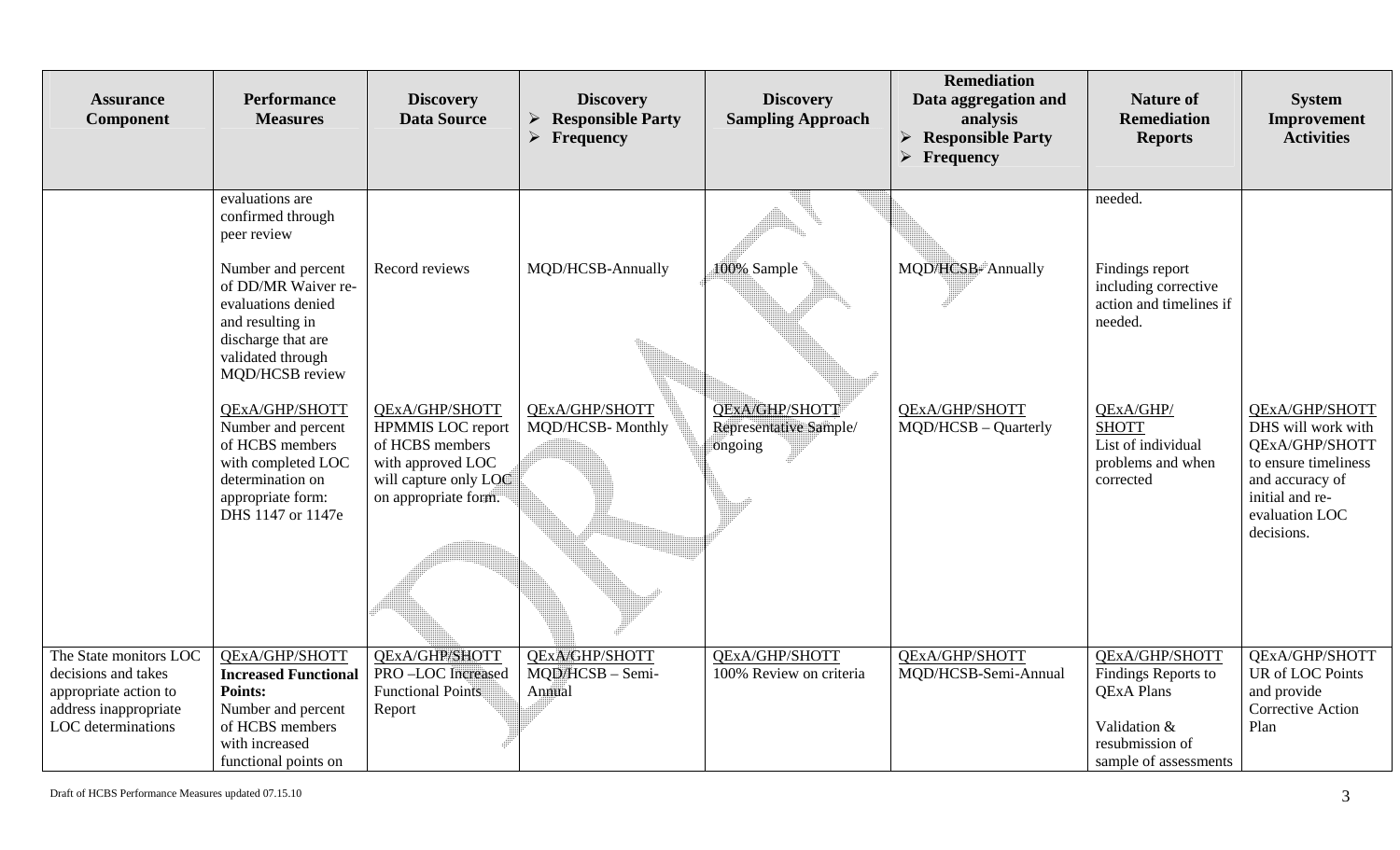| <b>Assurance</b><br>Component                                                                                         | <b>Performance</b><br><b>Measures</b>                                                                                                                                                                    | <b>Discovery</b><br><b>Data Source</b>                                                                                              | <b>Discovery</b><br><b>Responsible Party</b><br>$\blacktriangleright$<br>Frequency | <b>Discovery</b><br><b>Sampling Approach</b>               | <b>Remediation</b><br>Data aggregation and<br>analysis<br><b>Responsible Party</b><br>$\blacktriangleright$<br>$\blacktriangleright$<br>Frequency | <b>Nature of</b><br><b>Remediation</b><br><b>Reports</b>                                                               | <b>System</b><br>Improvement<br><b>Activities</b>                                                                                                                  |
|-----------------------------------------------------------------------------------------------------------------------|----------------------------------------------------------------------------------------------------------------------------------------------------------------------------------------------------------|-------------------------------------------------------------------------------------------------------------------------------------|------------------------------------------------------------------------------------|------------------------------------------------------------|---------------------------------------------------------------------------------------------------------------------------------------------------|------------------------------------------------------------------------------------------------------------------------|--------------------------------------------------------------------------------------------------------------------------------------------------------------------|
|                                                                                                                       | evaluations are<br>confirmed through<br>peer review<br>Number and percent<br>of DD/MR Waiver re-<br>evaluations denied<br>and resulting in<br>discharge that are<br>validated through<br>MQD/HCSB review | Record reviews                                                                                                                      | MQD/HCSB-Annually                                                                  | 100% Sample                                                | MQD/HCSB-Annually                                                                                                                                 | needed.<br>Findings report<br>including corrective<br>action and timelines if<br>needed.                               |                                                                                                                                                                    |
|                                                                                                                       | QExA/GHP/SHOTT<br>Number and percent<br>of HCBS members<br>with completed LOC<br>determination on<br>appropriate form:<br>DHS 1147 or 1147e                                                              | QExA/GHP/SHOTT<br><b>HPMMIS LOC</b> report<br>of HCBS members<br>with approved LOC<br>will capture only LOC<br>on appropriate form. | QExA/GHP/SHOTT<br>MQD/HCSB-Monthly                                                 | <b>QExA/GHP/SHOTT</b><br>Representative Sample/<br>ongoing | <b>QExA/GHP/SHOTT</b><br>MQD/HCSB - Quarterly                                                                                                     | <b>QExA/GHP/</b><br><b>SHOTT</b><br>List of individual<br>problems and when<br>corrected                               | <b>QExA/GHP/SHOTT</b><br>DHS will work with<br><b>QExA/GHP/SHOTT</b><br>to ensure timeliness<br>and accuracy of<br>initial and re-<br>evaluation LOC<br>decisions. |
| The State monitors LOC<br>decisions and takes<br>appropriate action to<br>address inappropriate<br>LOC determinations | QExA/GHP/SHOTT<br><b>Increased Functional</b><br><b>Points:</b><br>Number and percent<br>of HCBS members<br>with increased<br>functional points on                                                       | QExA/GHP/SHOTT<br>PRO-LOC Increased<br><b>Functional Points</b><br>Report                                                           | QExA/GHP/SHOTT<br>MQD/HCSB - Semi-<br>Annual                                       | QExA/GHP/SHOTT<br>100% Review on criteria                  | QExA/GHP/SHOTT<br>MQD/HCSB-Semi-Annual                                                                                                            | QExA/GHP/SHOTT<br>Findings Reports to<br><b>QExA Plans</b><br>Validation &<br>resubmission of<br>sample of assessments | <b>QExA/GHP/SHOTT</b><br>UR of LOC Points<br>and provide<br><b>Corrective Action</b><br>Plan                                                                       |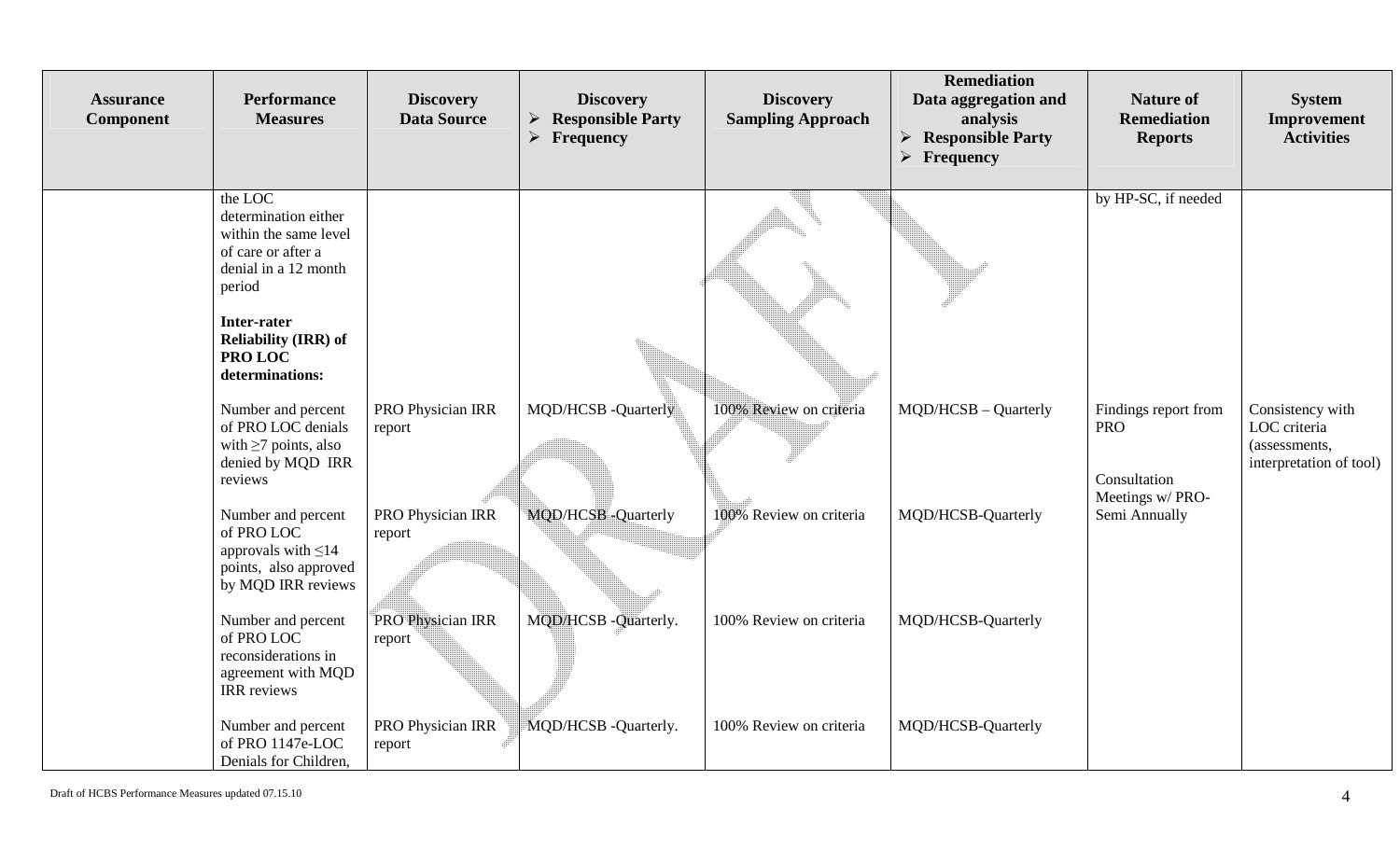| <b>Assurance</b><br>Component | <b>Performance</b><br><b>Measures</b>                                                                                                                                                        | <b>Discovery</b><br><b>Data Source</b> | <b>Discovery</b><br><b>Responsible Party</b><br>$\blacktriangleright$<br>Frequency | <b>Discovery</b><br><b>Sampling Approach</b> | <b>Remediation</b><br>Data aggregation and<br>analysis<br><b>Responsible Party</b><br>$\blacktriangleright$<br>Frequency<br>$\blacktriangleright$ | <b>Nature of</b><br><b>Remediation</b><br><b>Reports</b>               | <b>System</b><br>Improvement<br><b>Activities</b>                            |
|-------------------------------|----------------------------------------------------------------------------------------------------------------------------------------------------------------------------------------------|----------------------------------------|------------------------------------------------------------------------------------|----------------------------------------------|---------------------------------------------------------------------------------------------------------------------------------------------------|------------------------------------------------------------------------|------------------------------------------------------------------------------|
|                               | the LOC<br>determination either<br>within the same level<br>of care or after a<br>denial in a 12 month<br>period<br>Inter-rater<br><b>Reliability (IRR) of</b><br>PRO LOC<br>determinations: |                                        |                                                                                    |                                              |                                                                                                                                                   | by HP-SC, if needed                                                    |                                                                              |
|                               | Number and percent<br>of PRO LOC denials<br>with $\geq$ 7 points, also<br>denied by MQD IRR<br>reviews                                                                                       | PRO Physician IRR<br>report            | MQD/HCSB -Quarterly                                                                | 100% Review on criteria                      | MQD/HCSB - Quarterly                                                                                                                              | Findings report from<br><b>PRO</b><br>Consultation<br>Meetings w/ PRO- | Consistency with<br>LOC criteria<br>(assessments,<br>interpretation of tool) |
|                               | Number and percent<br>of PRO LOC<br>approvals with $\leq$ 14<br>points, also approved<br>by MQD IRR reviews                                                                                  | PRO Physician IRR<br>report            | <b>MQD/HCSB-Quarterly</b>                                                          | 100% Review on criteria                      | MQD/HCSB-Quarterly                                                                                                                                | Semi Annually                                                          |                                                                              |
|                               | Number and percent<br>of PRO LOC<br>reconsiderations in<br>agreement with MQD<br><b>IRR</b> reviews                                                                                          | PRO Physician IRR<br>report            | MQD/HCSB - Quarterly.                                                              | 100% Review on criteria                      | MQD/HCSB-Quarterly                                                                                                                                |                                                                        |                                                                              |
|                               | Number and percent<br>of PRO 1147e-LOC<br>Denials for Children,                                                                                                                              | PRO Physician IRR<br>report            | MQD/HCSB -Quarterly.                                                               | 100% Review on criteria                      | MQD/HCSB-Quarterly                                                                                                                                |                                                                        |                                                                              |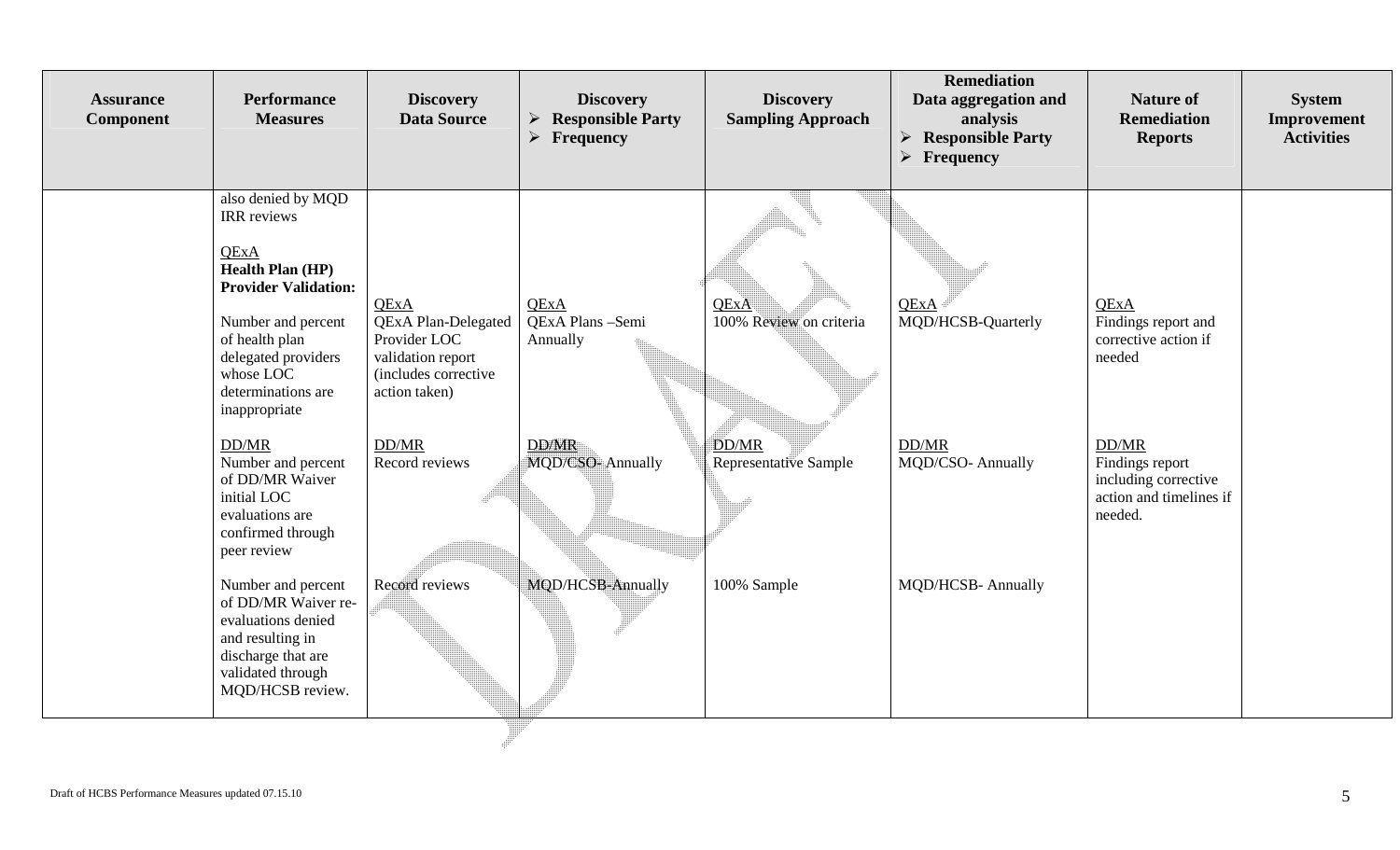| <b>Assurance</b><br>Component | <b>Performance</b><br><b>Measures</b>                                                                                                                                                                                                                                                                                                                                                                                                                                                                | <b>Discovery</b><br><b>Data Source</b>                                                                                                                        | <b>Discovery</b><br>$\triangleright$ Responsible Party<br>$\triangleright$ Frequency  | <b>Discovery</b><br><b>Sampling Approach</b>                                            | <b>Remediation</b><br>Data aggregation and<br>analysis<br><b>Responsible Party</b><br>$\blacktriangleright$<br>$\blacktriangleright$<br>Frequency | <b>Nature of</b><br><b>Remediation</b><br><b>Reports</b>                                                                                                | <b>System</b><br>Improvement<br><b>Activities</b> |
|-------------------------------|------------------------------------------------------------------------------------------------------------------------------------------------------------------------------------------------------------------------------------------------------------------------------------------------------------------------------------------------------------------------------------------------------------------------------------------------------------------------------------------------------|---------------------------------------------------------------------------------------------------------------------------------------------------------------|---------------------------------------------------------------------------------------|-----------------------------------------------------------------------------------------|---------------------------------------------------------------------------------------------------------------------------------------------------|---------------------------------------------------------------------------------------------------------------------------------------------------------|---------------------------------------------------|
|                               | also denied by MQD<br>IRR reviews<br>QExA<br><b>Health Plan (HP)</b><br><b>Provider Validation:</b><br>Number and percent<br>of health plan<br>delegated providers<br>whose LOC<br>determinations are<br>inappropriate<br>DD/MR<br>Number and percent<br>of DD/MR Waiver<br>initial LOC<br>evaluations are<br>confirmed through<br>peer review<br>Number and percent<br>of DD/MR Waiver re-<br>evaluations denied<br>and resulting in<br>discharge that are<br>validated through<br>MQD/HCSB review. | QExA<br><b>QExA Plan-Delegated</b><br>Provider LOC<br>validation report<br>(includes corrective<br>action taken)<br>DD/MR<br>Record reviews<br>Record reviews | QExA<br>QExA Plans-Semi<br>Annually<br>DD/MR<br>MQD/CSO-Annually<br>MQD/HCSB-Annually | QExA<br>100% Review on criteria<br><b>DD/MR</b><br>Representative Sample<br>100% Sample | QExA<br>MQD/HCSB-Quarterly<br>DD/MR<br>MQD/CSO- Annually<br><b>MQD/HCSB-Annually</b>                                                              | QExA<br>Findings report and<br>corrective action if<br>needed<br>DD/MR<br>Findings report<br>including corrective<br>action and timelines if<br>needed. |                                                   |
|                               |                                                                                                                                                                                                                                                                                                                                                                                                                                                                                                      |                                                                                                                                                               |                                                                                       |                                                                                         |                                                                                                                                                   |                                                                                                                                                         |                                                   |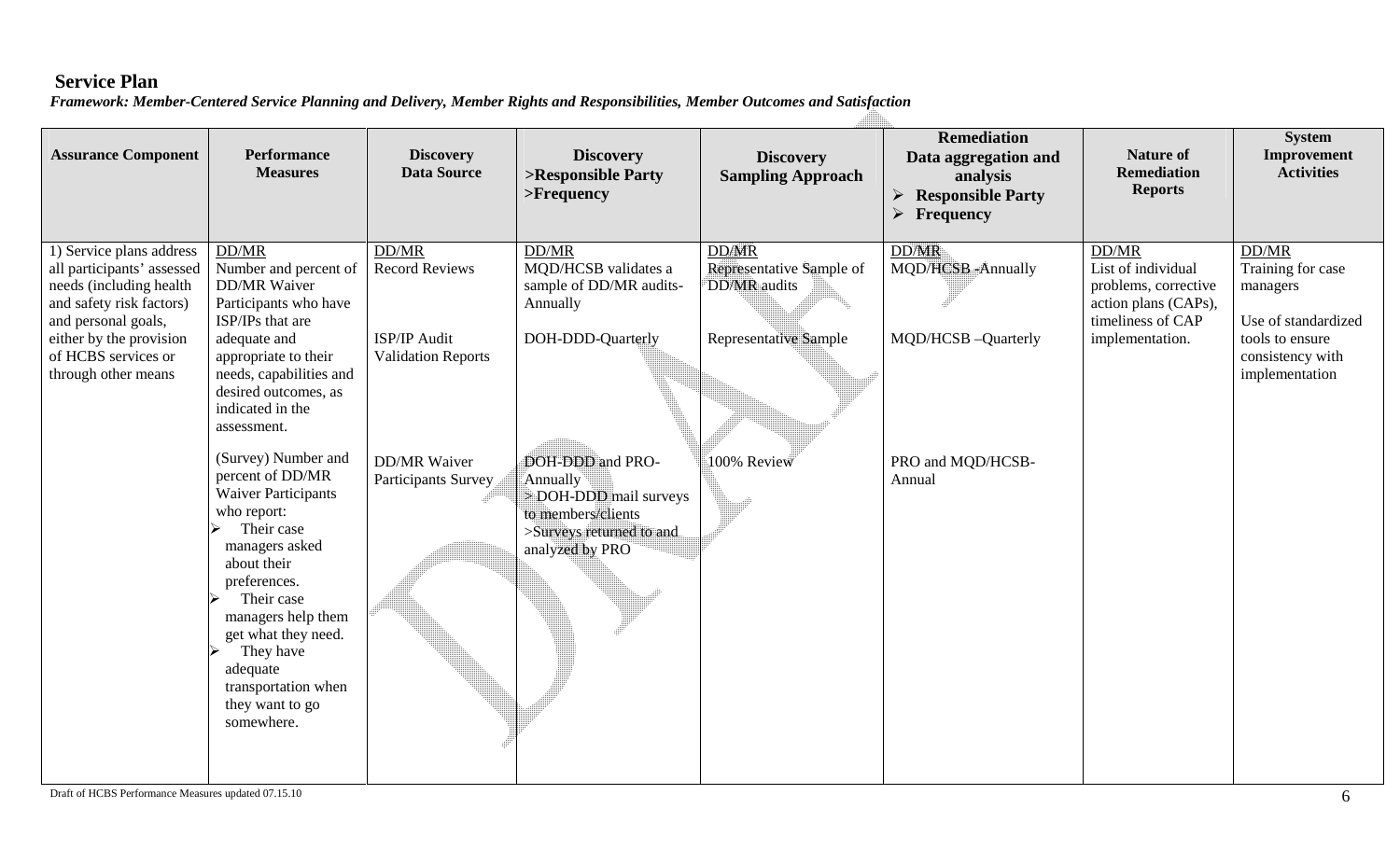## **Service Plan**

*Framework: Member-Centered Service Planning and Delivery, Member Rights and Responsibilities, Member Outcomes and Satisfaction*

| <b>Assurance Component</b>                                                                                                                                                                                     | <b>Performance</b><br><b>Measures</b>                                                                                                                                                                                                                                                           | <b>Discovery</b><br><b>Data Source</b>                                      | <b>Discovery</b><br>>Responsible Party<br>>Frequency                                                                        | <b>Discovery</b><br><b>Sampling Approach</b>                                      | <b>Remediation</b><br>Data aggregation and<br>analysis<br><b>Responsible Party</b><br>➤<br>$\triangleright$ Frequency | <b>Nature of</b><br><b>Remediation</b><br><b>Reports</b>                                                            | <b>System</b><br>Improvement<br><b>Activities</b>                                                                      |
|----------------------------------------------------------------------------------------------------------------------------------------------------------------------------------------------------------------|-------------------------------------------------------------------------------------------------------------------------------------------------------------------------------------------------------------------------------------------------------------------------------------------------|-----------------------------------------------------------------------------|-----------------------------------------------------------------------------------------------------------------------------|-----------------------------------------------------------------------------------|-----------------------------------------------------------------------------------------------------------------------|---------------------------------------------------------------------------------------------------------------------|------------------------------------------------------------------------------------------------------------------------|
| 1) Service plans address<br>all participants' assessed<br>needs (including health)<br>and safety risk factors)<br>and personal goals,<br>either by the provision<br>of HCBS services or<br>through other means | DD/MR<br>Number and percent of<br><b>DD/MR Waiver</b><br>Participants who have<br>ISP/IPs that are<br>adequate and<br>appropriate to their<br>needs, capabilities and<br>desired outcomes, as<br>indicated in the<br>assessment.                                                                | DD/MR<br><b>Record Reviews</b><br>ISP/IP Audit<br><b>Validation Reports</b> | DD/MR<br>MQD/HCSB validates a<br>sample of DD/MR audits-<br>Annually<br>DOH-DDD-Quarterly                                   | DD/MR<br>Representative Sample of<br>DD/MR audits<br><b>Representative Sample</b> | <b>DD/MR</b><br>MQD/HCSB-Annually<br>MQD/HCSB-Quarterly                                                               | DD/MR<br>List of individual<br>problems, corrective<br>action plans (CAPs),<br>timeliness of CAP<br>implementation. | DD/MR<br>Training for case<br>managers<br>Use of standardized<br>tools to ensure<br>consistency with<br>implementation |
|                                                                                                                                                                                                                | (Survey) Number and<br>percent of DD/MR<br><b>Waiver Participants</b><br>who report:<br>Their case<br>managers asked<br>about their<br>preferences.<br>Their case<br>managers help them<br>get what they need.<br>They have<br>adequate<br>transportation when<br>they want to go<br>somewhere. | <b>DD/MR Waiver</b><br>Participants Survey                                  | DOH-DDD and PRO-<br>Annually<br>> DOH-DDD mail surveys<br>to members/clients<br>>Surveys returned to and<br>analyzed by PRO | 100% Review                                                                       | PRO and MQD/HCSB-<br>Annual                                                                                           |                                                                                                                     |                                                                                                                        |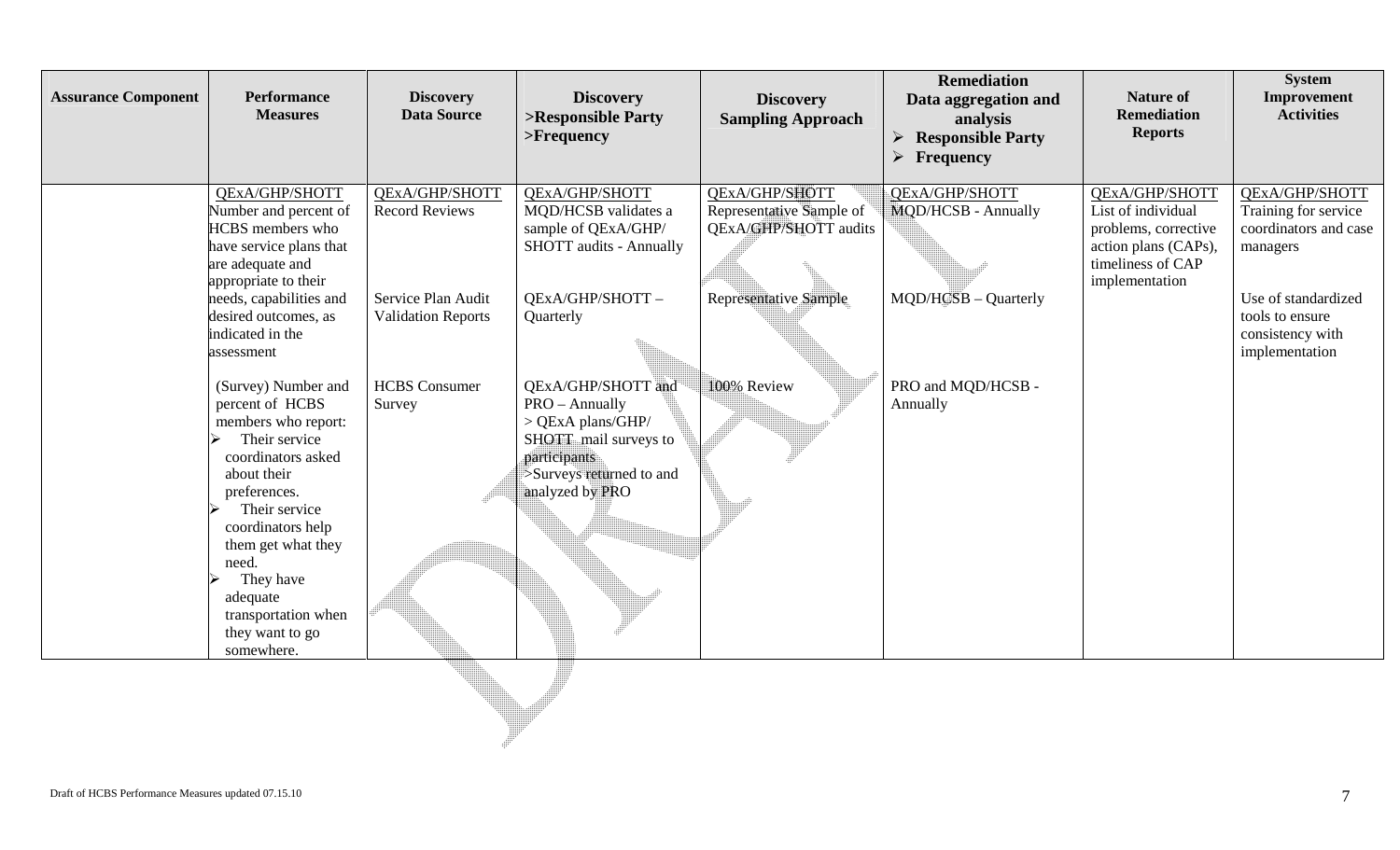| <b>Assurance Component</b> | Performance<br><b>Measures</b>                                                                                                                                                                                                                                                                                                              | <b>Discovery</b><br><b>Data Source</b>          | <b>Discovery</b><br>>Responsible Party<br>>Frequency                                                                                             | <b>Discovery</b><br><b>Sampling Approach</b>                        | <b>Remediation</b><br>Data aggregation and<br>analysis<br>$\blacktriangleright$<br><b>Responsible Party</b><br>$\blacktriangleright$<br>Frequency | <b>Nature of</b><br><b>Remediation</b><br><b>Reports</b>                                                                    | <b>System</b><br>Improvement<br><b>Activities</b>                            |
|----------------------------|---------------------------------------------------------------------------------------------------------------------------------------------------------------------------------------------------------------------------------------------------------------------------------------------------------------------------------------------|-------------------------------------------------|--------------------------------------------------------------------------------------------------------------------------------------------------|---------------------------------------------------------------------|---------------------------------------------------------------------------------------------------------------------------------------------------|-----------------------------------------------------------------------------------------------------------------------------|------------------------------------------------------------------------------|
|                            | QExA/GHP/SHOTT<br>Number and percent of<br><b>HCBS</b> members who<br>have service plans that<br>are adequate and<br>appropriate to their                                                                                                                                                                                                   | QExA/GHP/SHOTT<br><b>Record Reviews</b>         | QExA/GHP/SHOTT<br>MQD/HCSB validates a<br>sample of QExA/GHP/<br><b>SHOTT</b> audits - Annually                                                  | QExA/GHP/SHOTT<br>Representative Sample of<br>QExA/GHP/SHOTT audits | QExA/GHP/SHOTT<br><b>MQD/HCSB - Annually</b>                                                                                                      | QExA/GHP/SHOTT<br>List of individual<br>problems, corrective<br>action plans (CAPs),<br>timeliness of CAP<br>implementation | QExA/GHP/SHOTT<br>Training for service<br>coordinators and case<br>managers  |
|                            | needs, capabilities and<br>desired outcomes, as<br>indicated in the<br>assessment                                                                                                                                                                                                                                                           | Service Plan Audit<br><b>Validation Reports</b> | QExA/GHP/SHOTT-<br>Quarterly                                                                                                                     | <b>Representative Sample</b>                                        | MQD/HCSB - Quarterly                                                                                                                              |                                                                                                                             | Use of standardized<br>tools to ensure<br>consistency with<br>implementation |
|                            | (Survey) Number and<br>percent of HCBS<br>members who report:<br>$\blacktriangleright$<br>Their service<br>coordinators asked<br>about their<br>preferences.<br>Their service<br>$\blacktriangleright$<br>coordinators help<br>them get what they<br>need.<br>They have<br>adequate<br>transportation when<br>they want to go<br>somewhere. | <b>HCBS</b> Consumer<br>Survey                  | QExA/GHP/SHOTT and<br>PRO - Annually<br>> QExA plans/GHP/<br>SHOTT mail surveys to<br>participants<br>Surveys returned to and<br>analyzed by PRO | 100% Review                                                         | PRO and MQD/HCSB -<br>Annually                                                                                                                    |                                                                                                                             |                                                                              |
|                            |                                                                                                                                                                                                                                                                                                                                             |                                                 |                                                                                                                                                  |                                                                     |                                                                                                                                                   |                                                                                                                             |                                                                              |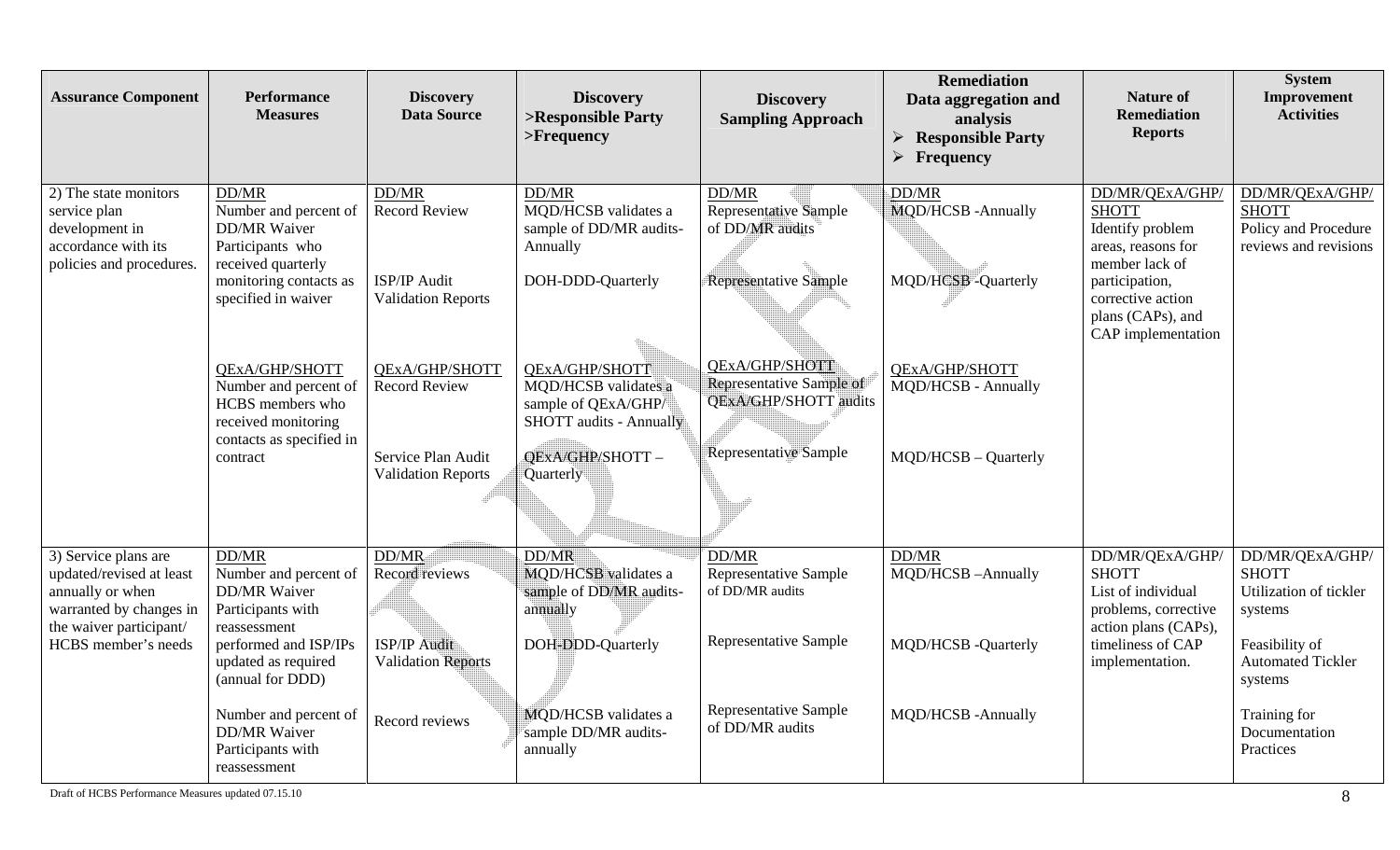| <b>Assurance Component</b>                                                                                                                        | <b>Performance</b><br><b>Measures</b>                                                                                                                          | <b>Discovery</b><br><b>Data Source</b>                                             | <b>Discovery</b><br>>Responsible Party<br>$>$ Frequency                                                                               | <b>Discovery</b><br><b>Sampling Approach</b>                                                               | <b>Remediation</b><br>Data aggregation and<br>analysis<br>$\triangleright$ Responsible Party<br>$\triangleright$ Frequency | <b>Nature of</b><br><b>Remediation</b><br><b>Reports</b>                                                                                                                      | <b>System</b><br>Improvement<br><b>Activities</b>                                                                             |
|---------------------------------------------------------------------------------------------------------------------------------------------------|----------------------------------------------------------------------------------------------------------------------------------------------------------------|------------------------------------------------------------------------------------|---------------------------------------------------------------------------------------------------------------------------------------|------------------------------------------------------------------------------------------------------------|----------------------------------------------------------------------------------------------------------------------------|-------------------------------------------------------------------------------------------------------------------------------------------------------------------------------|-------------------------------------------------------------------------------------------------------------------------------|
| 2) The state monitors<br>service plan<br>development in<br>accordance with its<br>policies and procedures.                                        | DD/MR<br>Number and percent of<br><b>DD/MR</b> Waiver<br>Participants who<br>received quarterly<br>monitoring contacts as<br>specified in waiver               | DD/MR<br><b>Record Review</b><br>ISP/IP Audit<br><b>Validation Reports</b>         | DD/MR<br>MQD/HCSB validates a<br>sample of DD/MR audits-<br>Annually<br>DOH-DDD-Quarterly                                             | DD/MR<br>Representative Sample<br>of DD/MR audits<br>Representative Sample                                 | DD/MR<br><b>MQD/HCSB</b> -Annually<br><b>MQD/HCSB-Quarterly</b>                                                            | DD/MR/QExA/GHP/<br><b>SHOTT</b><br>Identify problem<br>areas, reasons for<br>member lack of<br>participation,<br>corrective action<br>plans (CAPs), and<br>CAP implementation | DD/MR/QExA/GHP/<br><b>SHOTT</b><br>Policy and Procedure<br>reviews and revisions                                              |
|                                                                                                                                                   | <b>QExA/GHP/SHOTT</b><br>Number and percent of<br>HCBS members who<br>received monitoring<br>contacts as specified in<br>contract                              | QExA/GHP/SHOTT<br>Record Review<br>Service Plan Audit<br><b>Validation Reports</b> | <b>QExA/GHP/SHOTT</b><br>MQD/HCSB validates a<br>sample of QExA/GHP<br><b>SHOTT</b> audits - Annually<br>QExA/GHP/SHOTT-<br>Quarterly | <b>QExA/GHP/SHOTT</b><br>Representative Sample of<br><b>QExA/GHP/SHOTT</b> audits<br>Representative Sample | <b>QExA/GHP/SHOTT</b><br><b>MQD/HCSB - Annually</b><br>MQD/HCSB - Quarterly                                                |                                                                                                                                                                               |                                                                                                                               |
| 3) Service plans are<br>updated/revised at least<br>annually or when<br>warranted by changes in<br>the waiver participant/<br>HCBS member's needs | DD/MR<br>Number and percent of<br><b>DD/MR</b> Waiver<br>Participants with<br>reassessment<br>performed and ISP/IPs<br>updated as required<br>(annual for DDD) | DD/MR<br>Record reviews<br>ISP/IP Audit<br><b>Validation Reports</b>               | DD/MR<br><b>MQD/HCSB</b> validates a<br>sample of DD/MR audits-<br>annually<br>DOH-DDD-Quarterly                                      | DD/MR<br>Representative Sample<br>of DD/MR audits<br><b>Representative Sample</b>                          | DD/MR<br>MQD/HCSB-Annually<br><b>MQD/HCSB</b> -Quarterly                                                                   | DD/MR/QExA/GHP/<br><b>SHOTT</b><br>List of individual<br>problems, corrective<br>action plans (CAPs),<br>timeliness of CAP<br>implementation.                                 | DD/MR/QExA/GHP/<br><b>SHOTT</b><br>Utilization of tickler<br>systems<br>Feasibility of<br><b>Automated Tickler</b><br>systems |
|                                                                                                                                                   | Number and percent of<br><b>DD/MR</b> Waiver<br>Participants with<br>reassessment                                                                              | Record reviews                                                                     | <b>MOD/HCSB</b> validates a<br>sample DD/MR audits-<br>annually                                                                       | <b>Representative Sample</b><br>of DD/MR audits                                                            | <b>MQD/HCSB</b> - Annually                                                                                                 |                                                                                                                                                                               | Training for<br>Documentation<br>Practices                                                                                    |

Draft of HCBS Performance Measures updated 07.15.10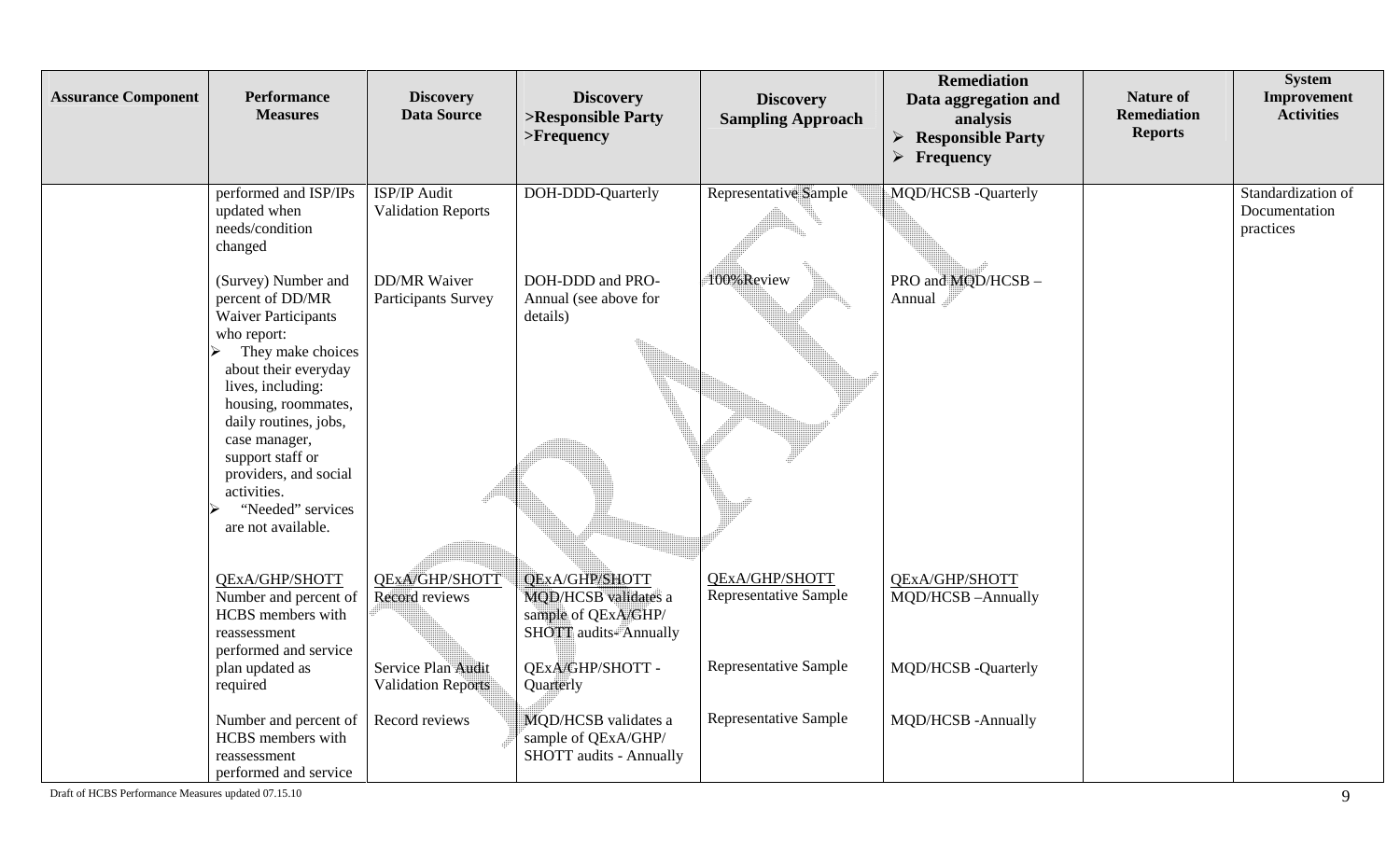| <b>Assurance Component</b> | <b>Performance</b><br><b>Measures</b>                                                                                                                                                                                                                                                                                          | <b>Discovery</b><br><b>Data Source</b>          | <b>Discovery</b><br>>Responsible Party<br>$>$ Frequency                                                     | <b>Discovery</b><br><b>Sampling Approach</b> | <b>Remediation</b><br>Data aggregation and<br>analysis<br>$\triangleright$ Responsible Party<br>$\triangleright$ Frequency | <b>Nature of</b><br><b>Remediation</b><br><b>Reports</b> | <b>System</b><br>Improvement<br><b>Activities</b> |
|----------------------------|--------------------------------------------------------------------------------------------------------------------------------------------------------------------------------------------------------------------------------------------------------------------------------------------------------------------------------|-------------------------------------------------|-------------------------------------------------------------------------------------------------------------|----------------------------------------------|----------------------------------------------------------------------------------------------------------------------------|----------------------------------------------------------|---------------------------------------------------|
|                            | performed and ISP/IPs<br>updated when<br>needs/condition<br>changed                                                                                                                                                                                                                                                            | ISP/IP Audit<br><b>Validation Reports</b>       | DOH-DDD-Quarterly                                                                                           | Representative Sample                        | <b>MQD/HCSB</b> -Quarterly                                                                                                 |                                                          | Standardization of<br>Documentation<br>practices  |
|                            | (Survey) Number and<br>percent of DD/MR<br><b>Waiver Participants</b><br>who report:<br>They make choices<br>about their everyday<br>lives, including:<br>housing, roommates,<br>daily routines, jobs,<br>case manager,<br>support staff or<br>providers, and social<br>activities.<br>"Needed" services<br>are not available. | <b>DD/MR Waiver</b><br>Participants Survey      | DOH-DDD and PRO-<br>Annual (see above for<br>details)                                                       | 100% Review                                  | PRO and MQD/HCSB-<br>Annual                                                                                                |                                                          |                                                   |
|                            | QExA/GHP/SHOTT<br>Number and percent of<br>HCBS members with<br>reassessment<br>performed and service                                                                                                                                                                                                                          | QExA/GHP/SHOTT<br>Record reviews                | <b>QExA/GHP/SHOTT</b><br><b>MQD/HCSB</b> validates a<br>sample of QExA/GHP/<br><b>SHOTT</b> audits-Annually | QExA/GHP/SHOTT<br>Representative Sample      | QExA/GHP/SHOTT<br>MQD/HCSB-Annually                                                                                        |                                                          |                                                   |
|                            | plan updated as<br>required                                                                                                                                                                                                                                                                                                    | Service Plan Audit<br><b>Validation Reports</b> | QExA/GHP/SHOTT -<br>Quarterly                                                                               | Representative Sample                        | <b>MQD/HCSB</b> -Quarterly                                                                                                 |                                                          |                                                   |
|                            | Number and percent of<br>HCBS members with<br>reassessment<br>performed and service                                                                                                                                                                                                                                            | Record reviews                                  | <b>MQD/HCSB</b> validates a<br>sample of QExA/GHP/<br><b>SHOTT</b> audits - Annually                        | Representative Sample                        | MQD/HCSB -Annually                                                                                                         |                                                          |                                                   |

Draft of HCBS Performance Measures updated 07.15.10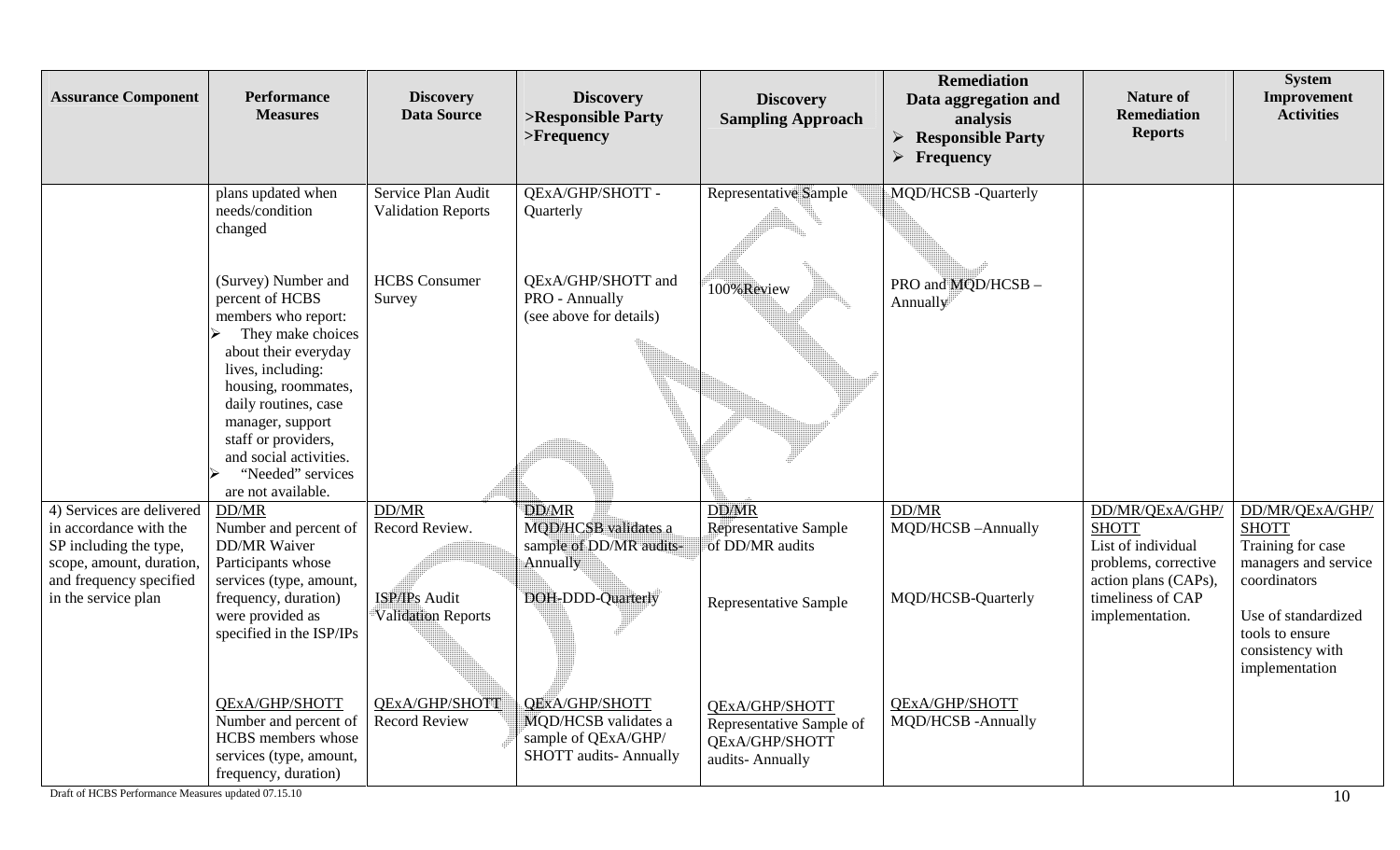| <b>Assurance Component</b>                                                                                                                                  | Performance<br><b>Measures</b>                                                                                                                                                                                                                                                                 | <b>Discovery</b><br><b>Data Source</b>                                | <b>Discovery</b><br>>Responsible Party<br>$>$ Frequency                                                        | <b>Discovery</b><br><b>Sampling Approach</b>                                      | <b>Remediation</b><br>Data aggregation and<br>analysis<br><b>Responsible Party</b><br>$\blacktriangleright$<br>Frequency | <b>Nature of</b><br><b>Remediation</b><br><b>Reports</b>                                                                                      | <b>System</b><br>Improvement<br><b>Activities</b>                                                                                                                            |
|-------------------------------------------------------------------------------------------------------------------------------------------------------------|------------------------------------------------------------------------------------------------------------------------------------------------------------------------------------------------------------------------------------------------------------------------------------------------|-----------------------------------------------------------------------|----------------------------------------------------------------------------------------------------------------|-----------------------------------------------------------------------------------|--------------------------------------------------------------------------------------------------------------------------|-----------------------------------------------------------------------------------------------------------------------------------------------|------------------------------------------------------------------------------------------------------------------------------------------------------------------------------|
|                                                                                                                                                             | plans updated when<br>needs/condition<br>changed                                                                                                                                                                                                                                               | Service Plan Audit<br><b>Validation Reports</b>                       | QExA/GHP/SHOTT -<br>Quarterly                                                                                  | Representative Sample                                                             | <b>MQD/HCSB</b> -Quarterly                                                                                               |                                                                                                                                               |                                                                                                                                                                              |
|                                                                                                                                                             | (Survey) Number and<br>percent of HCBS<br>members who report:<br>They make choices<br>about their everyday<br>lives, including:<br>housing, roommates,<br>daily routines, case<br>manager, support<br>staff or providers,<br>and social activities.<br>"Needed" services<br>are not available. | <b>HCBS</b> Consumer<br>Survey                                        | QExA/GHP/SHOTT and<br>PRO - Annually<br>(see above for details)                                                | 100% Review                                                                       | PRO and MQD/HCSB-<br>Annually                                                                                            |                                                                                                                                               |                                                                                                                                                                              |
| 4) Services are delivered<br>in accordance with the<br>SP including the type,<br>scope, amount, duration,<br>and frequency specified<br>in the service plan | DD/MR<br>Number and percent of<br><b>DD/MR Waiver</b><br>Participants whose<br>services (type, amount,<br>frequency, duration)<br>were provided as<br>specified in the ISP/IPs                                                                                                                 | DD/MR<br>Record Review.<br><b>ISP/IPs Audit</b><br>Validation Reports | <b>DD/MR</b><br><b>MQD/HCSB</b> validates a<br>sample of DD/MR audits-<br>Annually<br><b>DOH-DDD-Quarterly</b> | DD/MR<br><b>Representative Sample</b><br>of DD/MR audits<br>Representative Sample | DD/MR<br>MQD/HCSB-Annually<br>MQD/HCSB-Quarterly                                                                         | DD/MR/QExA/GHP/<br><b>SHOTT</b><br>List of individual<br>problems, corrective<br>action plans (CAPs),<br>timeliness of CAP<br>implementation. | DD/MR/QExA/GHP/<br><b>SHOTT</b><br>Training for case<br>managers and service<br>coordinators<br>Use of standardized<br>tools to ensure<br>consistency with<br>implementation |
|                                                                                                                                                             | QExA/GHP/SHOTT<br>Number and percent of<br>HCBS members whose<br>services (type, amount,<br>frequency, duration)                                                                                                                                                                               | <b>QExA/GHP/SHOTT</b><br><b>Record Review</b>                         | <b>QExA/GHP/SHOTT</b><br>MOD/HCSB validates a<br>sample of QExA/GHP/<br><b>SHOTT</b> audits-Annually           | QExA/GHP/SHOTT<br>Representative Sample of<br>QExA/GHP/SHOTT<br>audits-Annually   | <b>QExA/GHP/SHOTT</b><br>MQD/HCSB-Annually                                                                               |                                                                                                                                               |                                                                                                                                                                              |

Draft of HCBS Performance Measures updated 07.15.10 10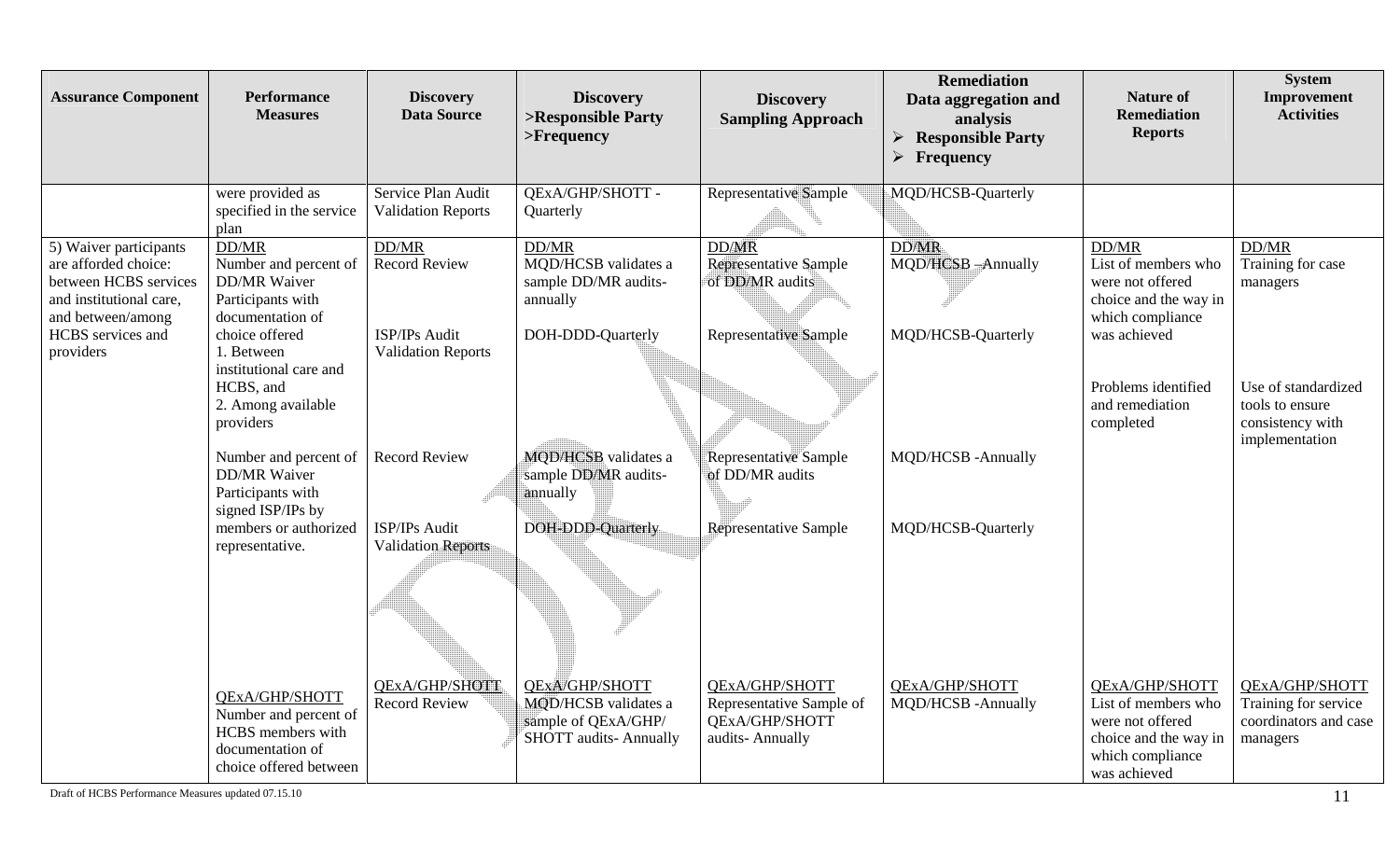| <b>Assurance Component</b>                                                                                              | Performance<br><b>Measures</b>                                                                             | <b>Discovery</b><br><b>Data Source</b>          | <b>Discovery</b><br>>Responsible Party<br>$>$ Frequency                                                     | <b>Discovery</b><br><b>Sampling Approach</b>                                           | <b>Remediation</b><br>Data aggregation and<br>analysis<br>$\triangleright$ Responsible Party<br>$\triangleright$ Frequency | <b>Nature of</b><br><b>Remediation</b><br><b>Reports</b>                                                               | <b>System</b><br>Improvement<br><b>Activities</b>                           |
|-------------------------------------------------------------------------------------------------------------------------|------------------------------------------------------------------------------------------------------------|-------------------------------------------------|-------------------------------------------------------------------------------------------------------------|----------------------------------------------------------------------------------------|----------------------------------------------------------------------------------------------------------------------------|------------------------------------------------------------------------------------------------------------------------|-----------------------------------------------------------------------------|
|                                                                                                                         | were provided as<br>specified in the service<br>plan                                                       | Service Plan Audit<br><b>Validation Reports</b> | <b>QExA/GHP/SHOTT -</b><br>Quarterly                                                                        | Representative Sample                                                                  | MQD/HCSB-Quarterly                                                                                                         |                                                                                                                        |                                                                             |
| 5) Waiver participants<br>are afforded choice:<br>between HCBS services<br>and institutional care,<br>and between/among | DD/MR<br>Number and percent of<br><b>DD/MR</b> Waiver<br>Participants with<br>documentation of             | DD/MR<br><b>Record Review</b>                   | DD/MR<br>MQD/HCSB validates a<br>sample DD/MR audits-<br>annually                                           | <b>DD/MR</b><br><b>Representative Sample</b><br>of DD/MR audits                        | DD/MR<br>MQD/HCSB-Annually                                                                                                 | DD/MR<br>List of members who<br>were not offered<br>choice and the way in<br>which compliance                          | DD/MR<br>Training for case<br>managers                                      |
| HCBS services and<br>providers                                                                                          | choice offered<br>1. Between<br>institutional care and<br>HCBS, and<br>2. Among available<br>providers     | ISP/IPs Audit<br><b>Validation Reports</b>      | DOH-DDD-Quarterly                                                                                           | Representative Sample                                                                  | MQD/HCSB-Quarterly                                                                                                         | was achieved<br>Problems identified<br>and remediation<br>completed                                                    | Use of standardized<br>tools to ensure<br>consistency with                  |
|                                                                                                                         | Number and percent of<br>DD/MR Waiver<br>Participants with<br>signed ISP/IPs by                            | <b>Record Review</b>                            | <b>MQD/HCSB</b> validates a<br>sample DD/MR audits-<br>annually                                             | <b>Representative Sample</b><br>of DD/MR audits                                        | <b>MQD/HCSB</b> - Annually                                                                                                 |                                                                                                                        | implementation                                                              |
|                                                                                                                         | members or authorized<br>representative.                                                                   | ISP/IPs Audit<br><b>Validation Reports</b>      | DOH-DDD-Quarterly                                                                                           | Representative Sample                                                                  | MQD/HCSB-Quarterly                                                                                                         |                                                                                                                        |                                                                             |
|                                                                                                                         | QExA/GHP/SHOTT<br>Number and percent of<br>HCBS members with<br>documentation of<br>choice offered between | <b>QExA/GHP/SHOTT</b><br><b>Record Review</b>   | <b>QExA/GHP/SHOTT</b><br><b>MOD/HCSB</b> validates a<br>sample of QExA/GHP/<br><b>SHOTT</b> audits-Annually | QExA/GHP/SHOTT<br>Representative Sample of<br><b>QExA/GHP/SHOTT</b><br>audits-Annually | QExA/GHP/SHOTT<br>MQD/HCSB-Annually                                                                                        | QExA/GHP/SHOTT<br>List of members who<br>were not offered<br>choice and the way in<br>which compliance<br>was achieved | QExA/GHP/SHOTT<br>Training for service<br>coordinators and case<br>managers |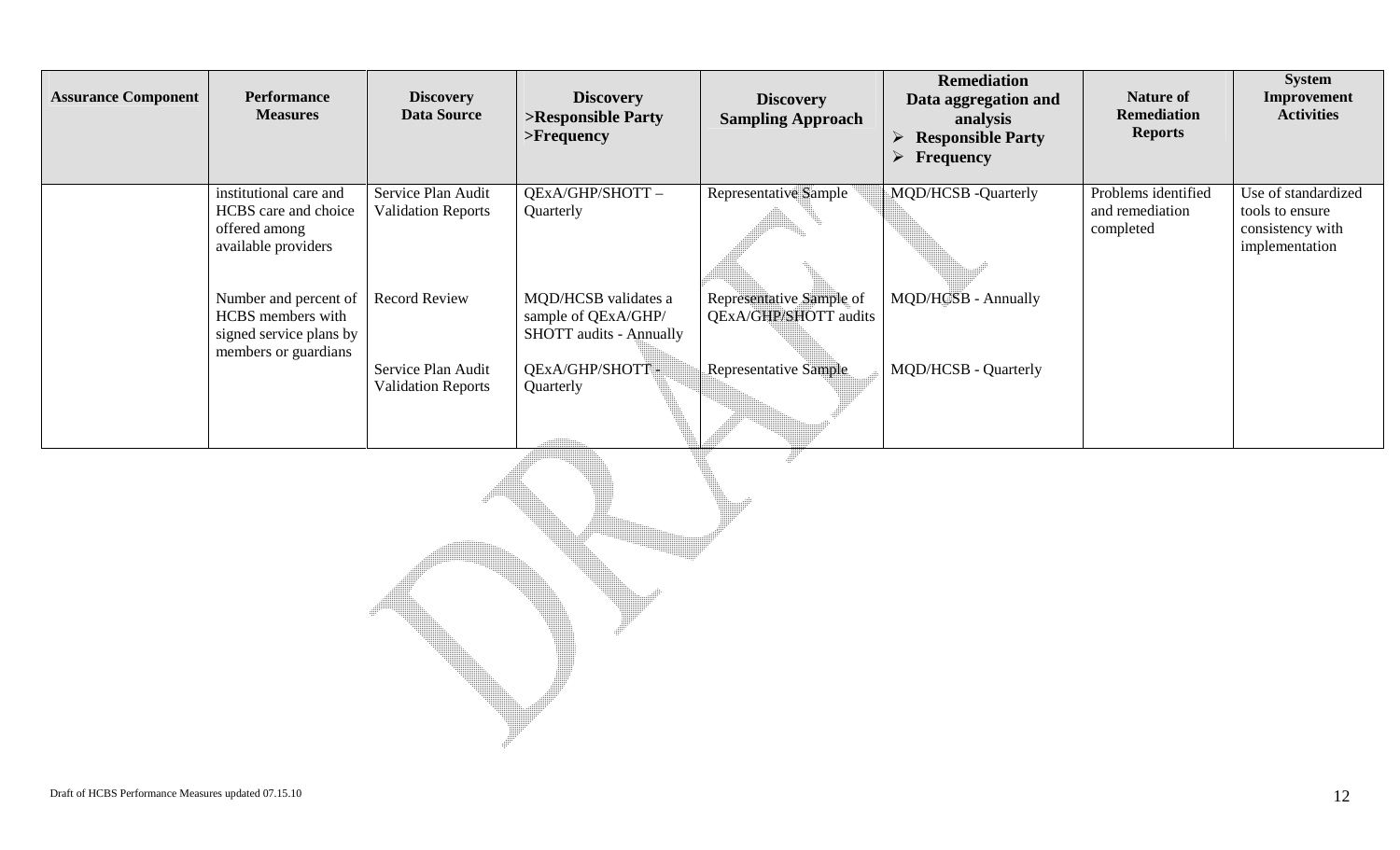| <b>Assurance Component</b> | <b>Performance</b><br><b>Measures</b>                                                         | <b>Discovery</b><br><b>Data Source</b>          | <b>Discovery</b><br>>Responsible Party<br>$>$ Frequency                       | <b>Discovery</b><br><b>Sampling Approach</b>      | <b>Remediation</b><br>Data aggregation and<br>analysis<br><b>Responsible Party</b><br>Frequency<br>↘ | <b>Nature of</b><br><b>Remediation</b><br><b>Reports</b> | <b>System</b><br>Improvement<br><b>Activities</b>                            |
|----------------------------|-----------------------------------------------------------------------------------------------|-------------------------------------------------|-------------------------------------------------------------------------------|---------------------------------------------------|------------------------------------------------------------------------------------------------------|----------------------------------------------------------|------------------------------------------------------------------------------|
|                            | institutional care and<br>HCBS care and choice<br>offered among<br>available providers        | Service Plan Audit<br><b>Validation Reports</b> | QExA/GHP/SHOTT-<br>Quarterly                                                  | Representative Sample                             | <b>MQD/HCSB</b> - Quarterly                                                                          | Problems identified<br>and remediation<br>completed      | Use of standardized<br>tools to ensure<br>consistency with<br>implementation |
|                            | Number and percent of<br>HCBS members with<br>signed service plans by<br>members or guardians | <b>Record Review</b>                            | MQD/HCSB validates a<br>sample of QExA/GHP/<br><b>SHOTT</b> audits - Annually | Representative Sample of<br>QExA/GHP/SHOTT audits | MQD/HCSB - Annually                                                                                  |                                                          |                                                                              |
|                            |                                                                                               | Service Plan Audit<br><b>Validation Reports</b> | QExA/GHP/SHOTT-<br>Quarterly                                                  | Representative Sample                             | MQD/HCSB - Quarterly                                                                                 |                                                          |                                                                              |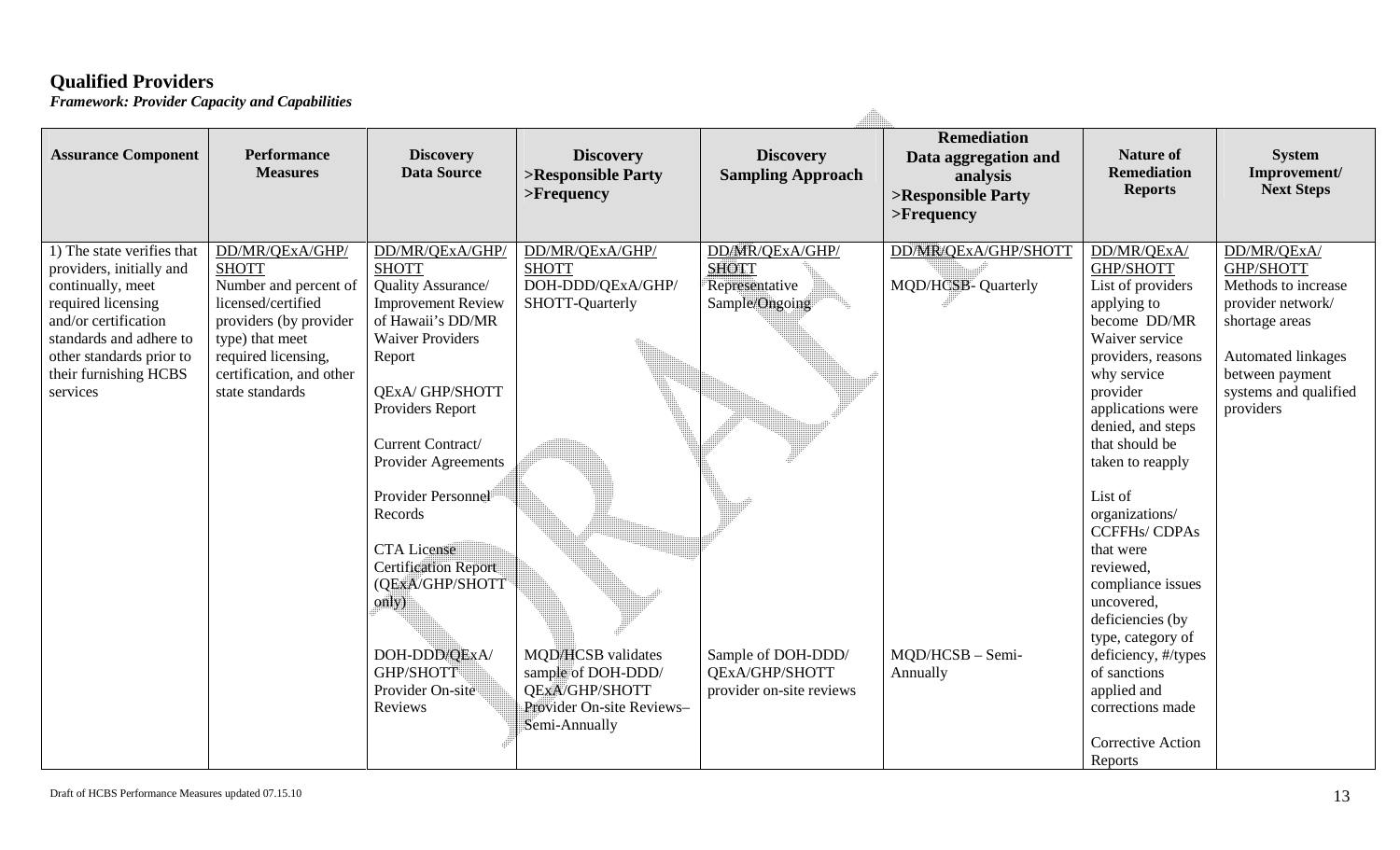### **Qualified Providers**

*Framework: Provider Capacity and Capabilities*

| <b>Assurance Component</b>                                                                                                                                                                                            | Performance<br><b>Measures</b>                                                                                                                                                                    | <b>Discovery</b><br><b>Data Source</b>                                                                                                                                                                                                                                                                                                                                                                               | <b>Discovery</b><br>>Responsible Party<br>$>$ Frequency                                                                                                                                           | <b>Discovery</b><br><b>Sampling Approach</b>                                                                                            | <b>Remediation</b><br>Data aggregation and<br>analysis<br>>Responsible Party<br>$>$ Frequency | <b>Nature of</b><br><b>Remediation</b><br><b>Reports</b>                                                                                                                                                                                                                                                                                                                                                                                                                                                   | <b>System</b><br>Improvement/<br><b>Next Steps</b>                                                                                                                                  |
|-----------------------------------------------------------------------------------------------------------------------------------------------------------------------------------------------------------------------|---------------------------------------------------------------------------------------------------------------------------------------------------------------------------------------------------|----------------------------------------------------------------------------------------------------------------------------------------------------------------------------------------------------------------------------------------------------------------------------------------------------------------------------------------------------------------------------------------------------------------------|---------------------------------------------------------------------------------------------------------------------------------------------------------------------------------------------------|-----------------------------------------------------------------------------------------------------------------------------------------|-----------------------------------------------------------------------------------------------|------------------------------------------------------------------------------------------------------------------------------------------------------------------------------------------------------------------------------------------------------------------------------------------------------------------------------------------------------------------------------------------------------------------------------------------------------------------------------------------------------------|-------------------------------------------------------------------------------------------------------------------------------------------------------------------------------------|
| 1) The state verifies that<br>providers, initially and<br>continually, meet<br>required licensing<br>and/or certification<br>standards and adhere to<br>other standards prior to<br>their furnishing HCBS<br>services | DD/MR/QExA/GHP/<br><b>SHOTT</b><br>Number and percent of<br>licensed/certified<br>providers (by provider<br>type) that meet<br>required licensing,<br>certification, and other<br>state standards | DD/MR/QExA/GHP/<br><b>SHOTT</b><br>Quality Assurance/<br><b>Improvement Review</b><br>of Hawaii's DD/MR<br><b>Waiver Providers</b><br>Report<br><b>QExA/GHP/SHOTT</b><br>Providers Report<br>Current Contract/<br>Provider Agreements<br>Provider Personnel<br>Records<br><b>CTA License</b><br><b>Certification Report</b><br>(QExA/GHP/SHOTT<br>only)<br>DOH-DDD/QExA/<br>GHP/SHOTT<br>Provider On-site<br>Reviews | DD/MR/QExA/GHP/<br><b>SHOTT</b><br>DOH-DDD/QExA/GHP/<br>SHOTT-Quarterly<br><b>MQD/HCSB</b> validates<br>sample of DOH-DDD/<br><b>QEXA/GHP/SHOTT</b><br>Provider On-site Reviews-<br>Semi-Annually | DD/MR/QExA/GHP/<br><b>SHOTT</b><br>Representative<br>Sample/Ongoing<br>Sample of DOH-DDD/<br>QExA/GHP/SHOTT<br>provider on-site reviews | DD/MR/QExA/GHP/SHOTT<br>MQD/HCSB-Quarterly<br>MQD/HCSB - Semi-<br>Annually                    | DD/MR/QExA/<br>GHP/SHOTT<br>List of providers<br>applying to<br>become DD/MR<br>Waiver service<br>providers, reasons<br>why service<br>provider<br>applications were<br>denied, and steps<br>that should be<br>taken to reapply<br>List of<br>organizations/<br><b>CCFFHs/CDPAs</b><br>that were<br>reviewed.<br>compliance issues<br>uncovered,<br>deficiencies (by<br>type, category of<br>deficiency, #/types<br>of sanctions<br>applied and<br>corrections made<br><b>Corrective Action</b><br>Reports | DD/MR/QExA/<br><b>GHP/SHOTT</b><br>Methods to increase<br>provider network/<br>shortage areas<br><b>Automated linkages</b><br>between payment<br>systems and qualified<br>providers |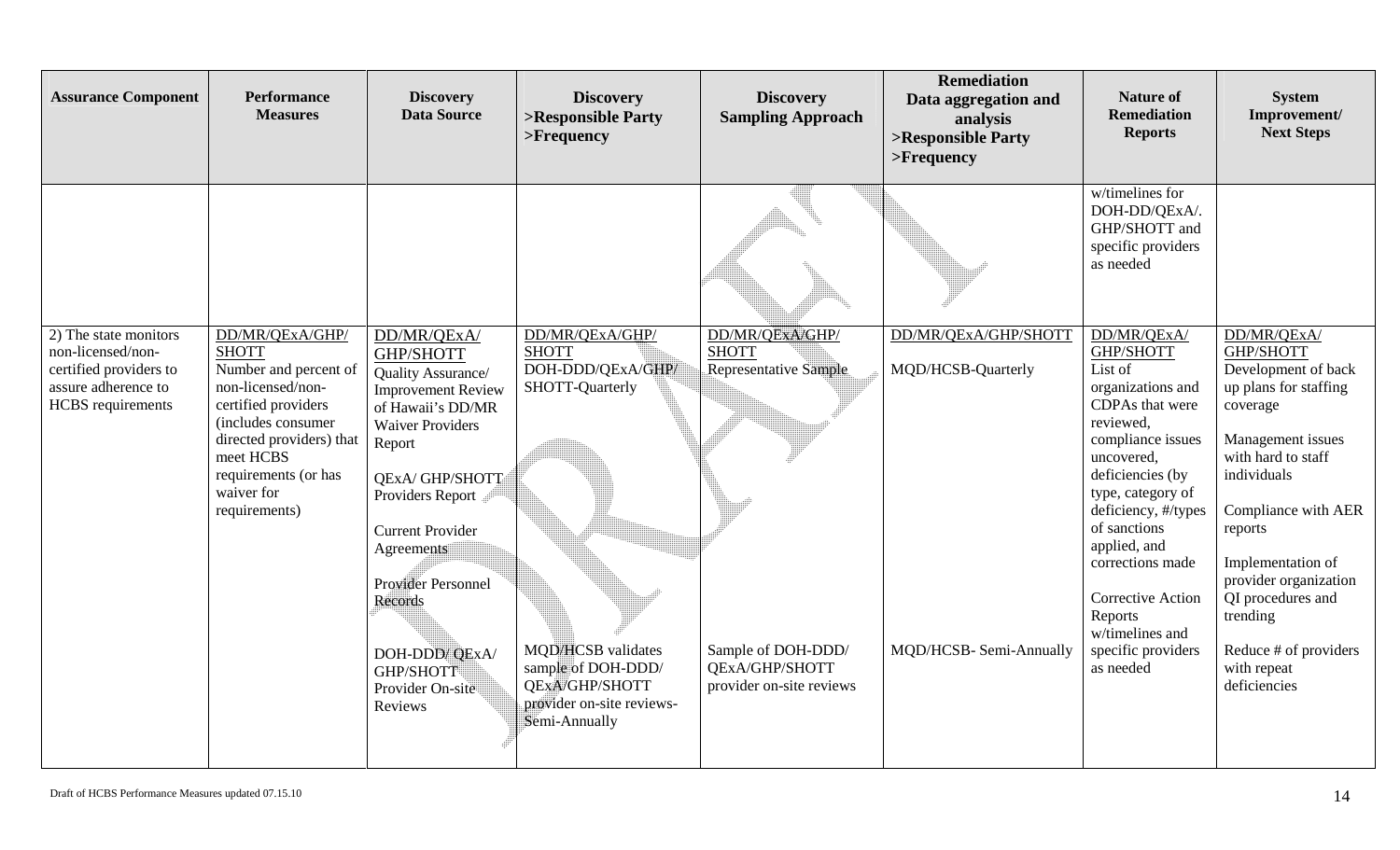| <b>Assurance Component</b>                                                                                              | Performance<br><b>Measures</b>                                                                                                                                                                                             | <b>Discovery</b><br><b>Data Source</b>                                                                                                                                                                                                                                                                                           | <b>Discovery</b><br>>Responsible Party<br>$>$ Frequency                                                                                                                                           | <b>Discovery</b><br><b>Sampling Approach</b>                                                                                               | <b>Remediation</b><br>Data aggregation and<br>analysis<br>>Responsible Party<br>$>$ Frequency | <b>Nature of</b><br><b>Remediation</b><br><b>Reports</b>                                                                                                                                                                                                                                                                                     | <b>System</b><br>Improvement/<br><b>Next Steps</b>                                                                                                                                                                                                                                                                      |
|-------------------------------------------------------------------------------------------------------------------------|----------------------------------------------------------------------------------------------------------------------------------------------------------------------------------------------------------------------------|----------------------------------------------------------------------------------------------------------------------------------------------------------------------------------------------------------------------------------------------------------------------------------------------------------------------------------|---------------------------------------------------------------------------------------------------------------------------------------------------------------------------------------------------|--------------------------------------------------------------------------------------------------------------------------------------------|-----------------------------------------------------------------------------------------------|----------------------------------------------------------------------------------------------------------------------------------------------------------------------------------------------------------------------------------------------------------------------------------------------------------------------------------------------|-------------------------------------------------------------------------------------------------------------------------------------------------------------------------------------------------------------------------------------------------------------------------------------------------------------------------|
|                                                                                                                         |                                                                                                                                                                                                                            |                                                                                                                                                                                                                                                                                                                                  |                                                                                                                                                                                                   |                                                                                                                                            |                                                                                               | w/timelines for<br>DOH-DD/QExA/.<br>GHP/SHOTT and<br>specific providers<br>as needed                                                                                                                                                                                                                                                         |                                                                                                                                                                                                                                                                                                                         |
| 2) The state monitors<br>non-licensed/non-<br>certified providers to<br>assure adherence to<br><b>HCBS</b> requirements | DD/MR/QExA/GHP/<br><b>SHOTT</b><br>Number and percent of<br>non-licensed/non-<br>certified providers<br>(includes consumer<br>directed providers) that<br>meet HCBS<br>requirements (or has<br>waiver for<br>requirements) | DD/MR/QExA/<br>GHP/SHOTT<br>Quality Assurance/<br><b>Improvement Review</b><br>of Hawaii's DD/MR<br><b>Waiver Providers</b><br>Report<br><b>QExA/GHP/SHOTT</b><br>Providers Report<br><b>Current Provider</b><br>Agreements<br><b>Provider Personnel</b><br>Records<br>DOH-DDD/QExA/<br>GHP/SHOTT<br>Provider On-site<br>Reviews | DD/MR/QExA/GHP/<br><b>SHOTT</b><br>DOH-DDD/QExA/GHP/<br>SHOTT-Quarterly<br><b>MQD/HCSB</b> validates<br>sample of DOH-DDD/<br><b>QExA/GHP/SHOTT</b><br>provider on-site reviews-<br>Semi-Annually | DD/MR/QExA/GHP/<br><b>SHOTT</b><br><b>Representative Sample</b><br>Sample of DOH-DDD/<br><b>QExA/GHP/SHOTT</b><br>provider on-site reviews | DD/MR/QExA/GHP/SHOTT<br>MQD/HCSB-Quarterly<br>MQD/HCSB- Semi-Annually                         | DD/MR/QExA/<br>GHP/SHOTT<br>List of<br>organizations and<br>CDPAs that were<br>reviewed,<br>compliance issues<br>uncovered,<br>deficiencies (by<br>type, category of<br>deficiency, #/types<br>of sanctions<br>applied, and<br>corrections made<br><b>Corrective Action</b><br>Reports<br>w/timelines and<br>specific providers<br>as needed | DD/MR/QExA/<br>GHP/SHOTT<br>Development of back<br>up plans for staffing<br>coverage<br>Management issues<br>with hard to staff<br>individuals<br>Compliance with AER<br>reports<br>Implementation of<br>provider organization<br>QI procedures and<br>trending<br>Reduce # of providers<br>with repeat<br>deficiencies |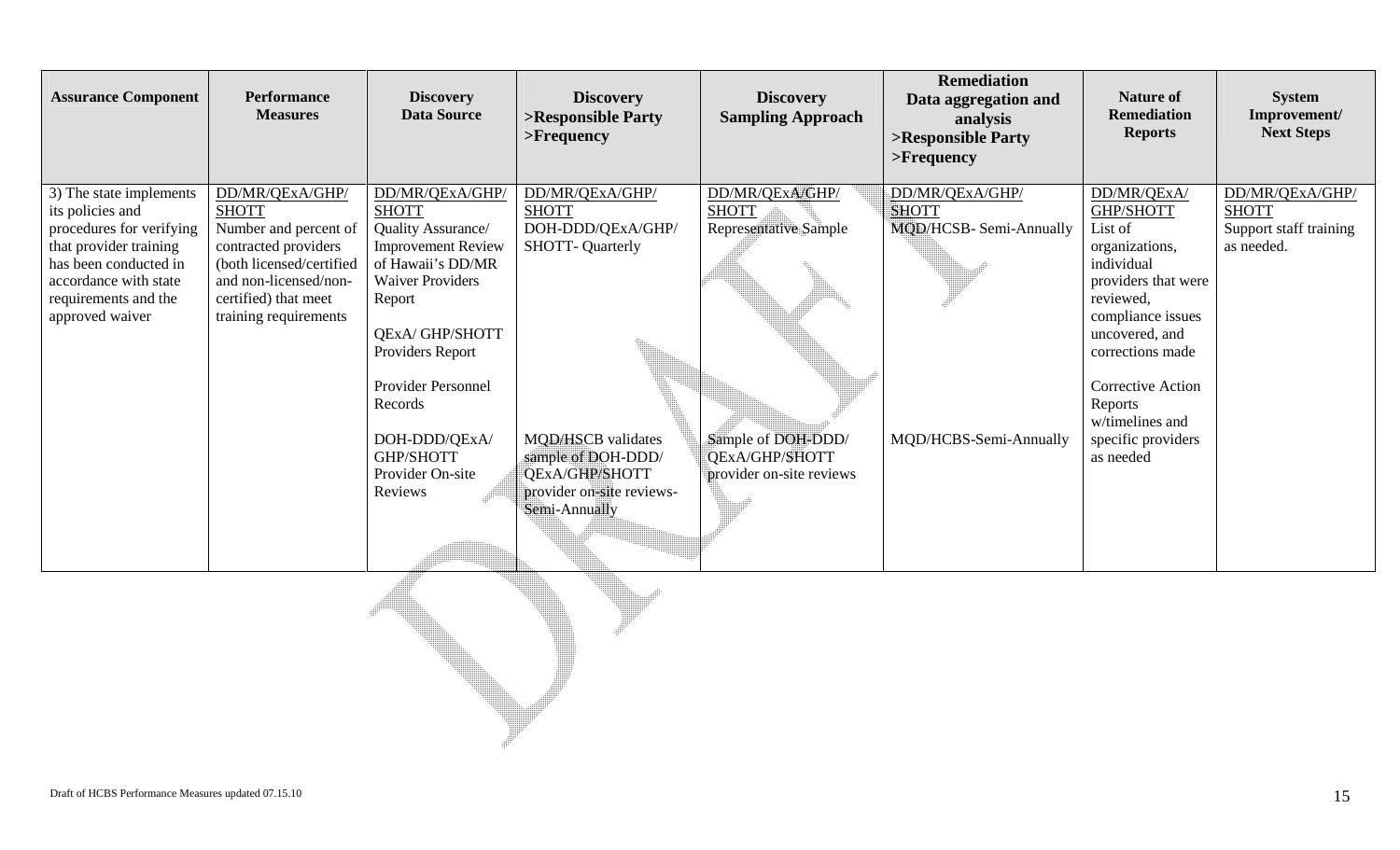| <b>Assurance Component</b>                                                                                                                                                                     | <b>Performance</b><br><b>Measures</b>                                                                                                                                                  | <b>Discovery</b><br><b>Data Source</b>                                                                                                                                                                                                                                                  | <b>Discovery</b><br>>Responsible Party<br>$>$ Frequency                                                                                                                                            | <b>Discovery</b><br><b>Sampling Approach</b>                                                                                        | <b>Remediation</b><br>Data aggregation and<br>analysis<br>>Responsible Party<br>$>$ Frequency | <b>Nature of</b><br><b>Remediation</b><br><b>Reports</b>                                                                                                                                                                                                        | <b>System</b><br>Improvement/<br><b>Next Steps</b>                      |
|------------------------------------------------------------------------------------------------------------------------------------------------------------------------------------------------|----------------------------------------------------------------------------------------------------------------------------------------------------------------------------------------|-----------------------------------------------------------------------------------------------------------------------------------------------------------------------------------------------------------------------------------------------------------------------------------------|----------------------------------------------------------------------------------------------------------------------------------------------------------------------------------------------------|-------------------------------------------------------------------------------------------------------------------------------------|-----------------------------------------------------------------------------------------------|-----------------------------------------------------------------------------------------------------------------------------------------------------------------------------------------------------------------------------------------------------------------|-------------------------------------------------------------------------|
| 3) The state implements<br>its policies and<br>procedures for verifying<br>that provider training<br>has been conducted in<br>accordance with state<br>requirements and the<br>approved waiver | DD/MR/QExA/GHP/<br><b>SHOTT</b><br>Number and percent of<br>contracted providers<br>(both licensed/certified<br>and non-licensed/non-<br>certified) that meet<br>training requirements | DD/MR/QExA/GHP/<br><b>SHOTT</b><br>Quality Assurance/<br><b>Improvement Review</b><br>of Hawaii's DD/MR<br><b>Waiver Providers</b><br>Report<br><b>QExA/GHP/SHOTT</b><br>Providers Report<br>Provider Personnel<br>Records<br>DOH-DDD/QExA/<br>GHP/SHOTT<br>Provider On-site<br>Reviews | DD/MR/QExA/GHP/<br><b>SHOTT</b><br>DOH-DDD/QExA/GHP/<br><b>SHOTT- Quarterly</b><br><b>MQD/HSCB</b> validates<br>sample of DOH-DDD/<br>QExA/GHP/SHOTT<br>provider on-site reviews-<br>Semi-Annually | DD/MR/QExA/GHP/<br><b>SHOTT</b><br><b>Representative Sample</b><br>Sample of DOH-DDD/<br>QExA/GHP/SHOTT<br>provider on-site reviews | DD/MR/QExA/GHP/<br><b>SHOTT</b><br><b>MQD/HCSB-Semi-Annually</b><br>MQD/HCBS-Semi-Annually    | DD/MR/QExA/<br>GHP/SHOTT<br>List of<br>organizations,<br>individual<br>providers that were<br>reviewed,<br>compliance issues<br>uncovered, and<br>corrections made<br><b>Corrective Action</b><br>Reports<br>w/timelines and<br>specific providers<br>as needed | DD/MR/QExA/GHP/<br><b>SHOTT</b><br>Support staff training<br>as needed. |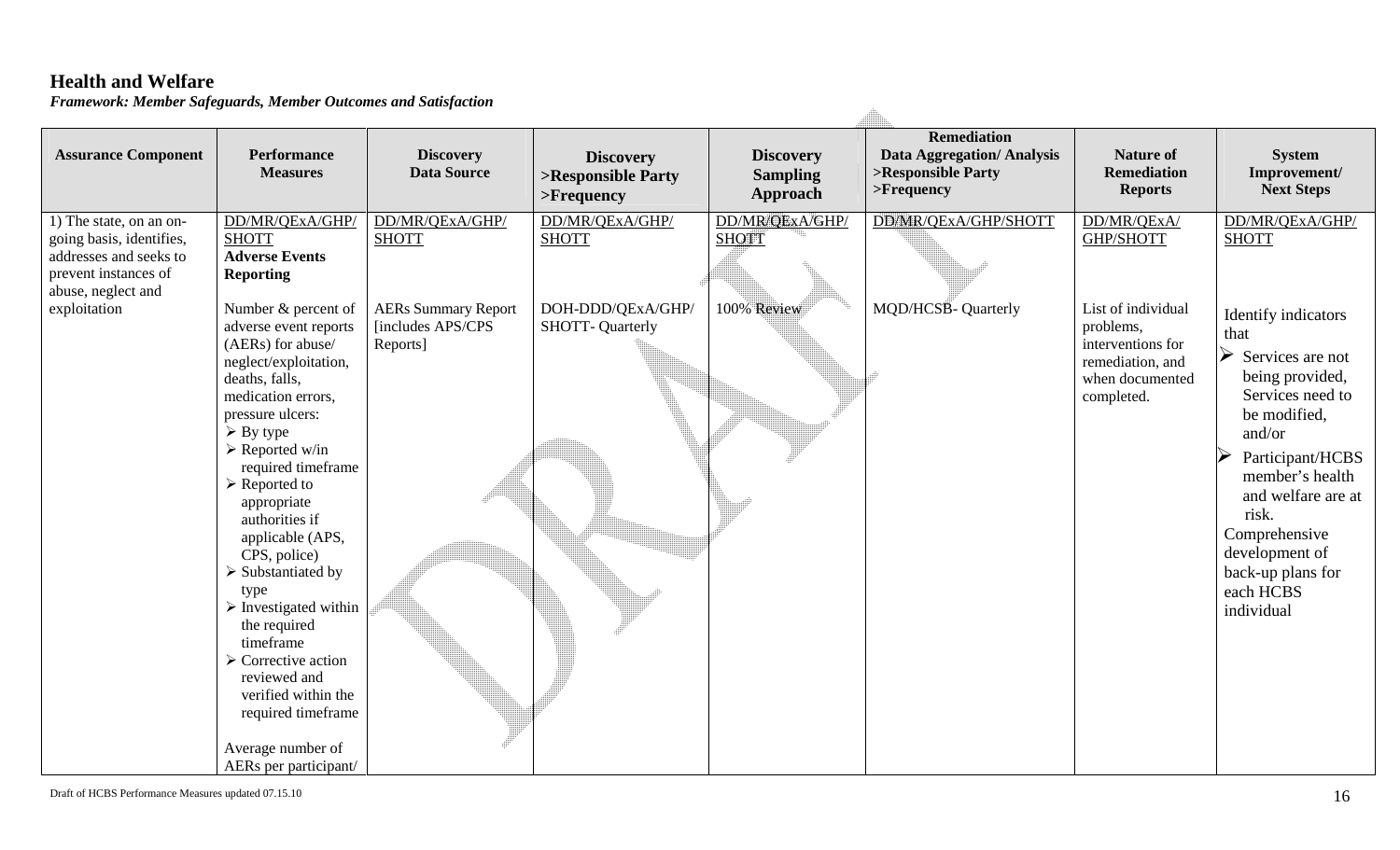# **Health and Welfare**

*Framework: Member Safeguards, Member Outcomes and Satisfaction*

| <b>Assurance Component</b>                                                                            | Performance<br><b>Measures</b>                                                                                                                                                                                                                                                                                                                                                                                                                                                                                                                                                                                     | <b>Discovery</b><br><b>Data Source</b>                      | <b>Discovery</b><br>>Responsible Party<br>$>$ Frequency | <b>Discovery</b><br><b>Sampling</b><br><b>Approach</b> | <b>Remediation</b><br><b>Data Aggregation/ Analysis</b><br>>Responsible Party<br>$>$ Frequency | <b>Nature of</b><br><b>Remediation</b><br><b>Reports</b>                                                  | <b>System</b><br>Improvement/<br><b>Next Steps</b>                                                                                                                                                                                                                             |
|-------------------------------------------------------------------------------------------------------|--------------------------------------------------------------------------------------------------------------------------------------------------------------------------------------------------------------------------------------------------------------------------------------------------------------------------------------------------------------------------------------------------------------------------------------------------------------------------------------------------------------------------------------------------------------------------------------------------------------------|-------------------------------------------------------------|---------------------------------------------------------|--------------------------------------------------------|------------------------------------------------------------------------------------------------|-----------------------------------------------------------------------------------------------------------|--------------------------------------------------------------------------------------------------------------------------------------------------------------------------------------------------------------------------------------------------------------------------------|
| 1) The state, on an on-<br>going basis, identifies,<br>addresses and seeks to<br>prevent instances of | DD/MR/QExA/GHP/<br><b>SHOTT</b><br><b>Adverse Events</b><br><b>Reporting</b>                                                                                                                                                                                                                                                                                                                                                                                                                                                                                                                                       | DD/MR/QExA/GHP/<br><b>SHOTT</b>                             | DD/MR/QExA/GHP/<br><b>SHOTT</b>                         | DD/MR/OExA/GHP/<br><b>SHOTT</b>                        | DD/MR/QExA/GHP/SHOTT                                                                           | DD/MR/OExA/<br>GHP/SHOTT                                                                                  | DD/MR/QExA/GHP/<br><b>SHOTT</b>                                                                                                                                                                                                                                                |
| abuse, neglect and<br>exploitation                                                                    | Number & percent of<br>adverse event reports<br>(AERs) for abuse/<br>neglect/exploitation,<br>deaths, falls,<br>medication errors,<br>pressure ulcers:<br>$\triangleright$ By type<br>$\triangleright$ Reported w/in<br>required timeframe<br>$\triangleright$ Reported to<br>appropriate<br>authorities if<br>applicable (APS,<br>CPS, police)<br>$\triangleright$ Substantiated by<br>type<br>$\triangleright$ Investigated within<br>the required<br>timeframe<br>$\triangleright$ Corrective action<br>reviewed and<br>verified within the<br>required timeframe<br>Average number of<br>AERs per participant/ | <b>AERs Summary Report</b><br>[includes APS/CPS<br>Reports] | DOH-DDD/QExA/GHP/<br><b>SHOTT- Quarterly</b>            | 100% Review                                            | <b>MQD/HCSB- Quarterly</b>                                                                     | List of individual<br>problems,<br>interventions for<br>remediation, and<br>when documented<br>completed. | Identify indicators<br>that<br>➤<br>Services are not<br>being provided,<br>Services need to<br>be modified,<br>and/or<br>Participant/HCBS<br>member's health<br>and welfare are at<br>risk.<br>Comprehensive<br>development of<br>back-up plans for<br>each HCBS<br>individual |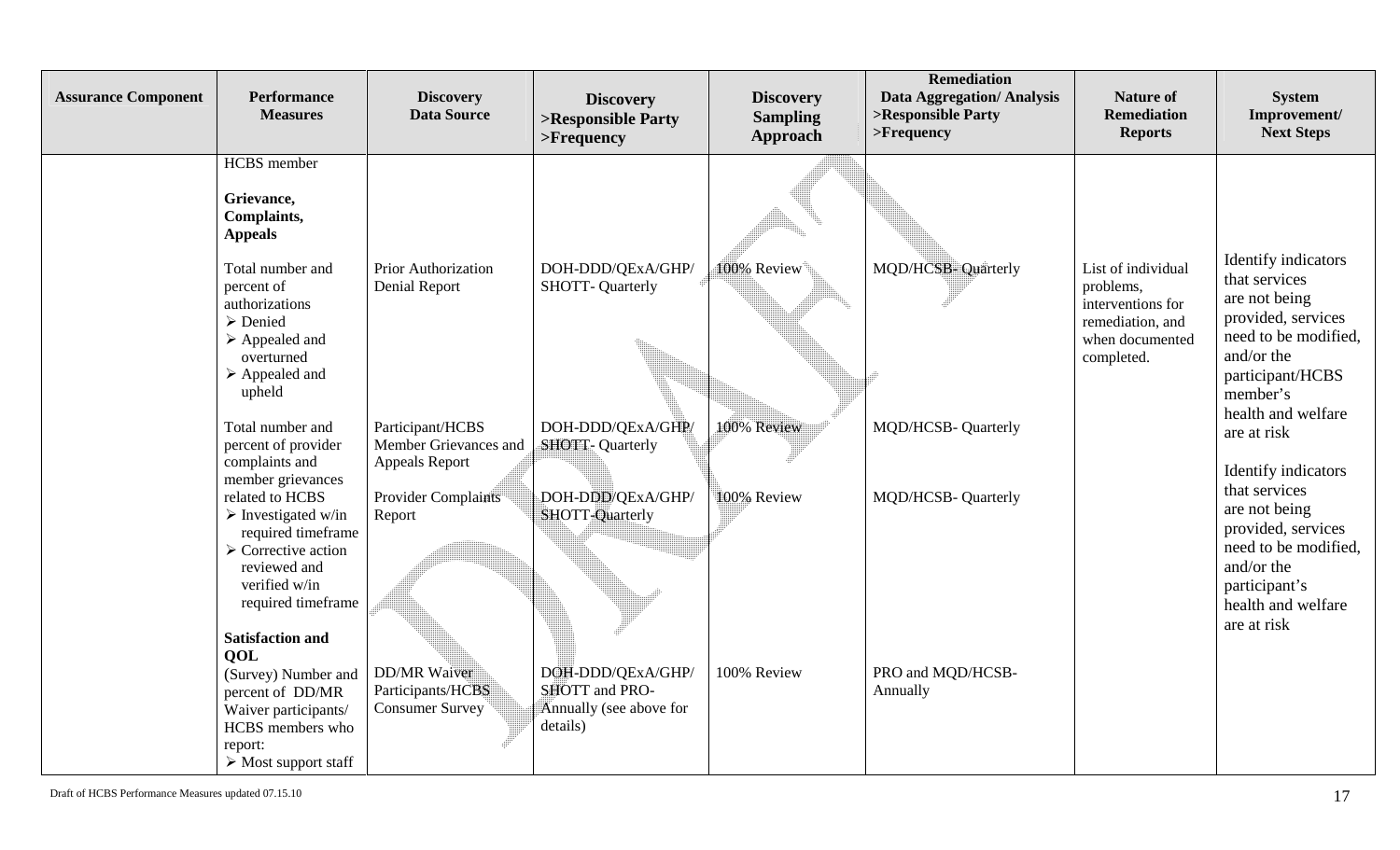| <b>Assurance Component</b> | Performance<br><b>Measures</b>                                                                                                                                                                                                             | <b>Discovery</b><br><b>Data Source</b>                             | <b>Discovery</b><br>>Responsible Party<br>$>$ Frequency                           | <b>Discovery</b><br><b>Sampling</b><br>Approach | <b>Remediation</b><br><b>Data Aggregation/ Analysis</b><br>>Responsible Party<br>$>$ Frequency | <b>Nature of</b><br><b>Remediation</b><br><b>Reports</b>                                                  | <b>System</b><br>Improvement/<br><b>Next Steps</b>                                                                                                |
|----------------------------|--------------------------------------------------------------------------------------------------------------------------------------------------------------------------------------------------------------------------------------------|--------------------------------------------------------------------|-----------------------------------------------------------------------------------|-------------------------------------------------|------------------------------------------------------------------------------------------------|-----------------------------------------------------------------------------------------------------------|---------------------------------------------------------------------------------------------------------------------------------------------------|
|                            | <b>HCBS</b> member<br>Grievance,<br>Complaints,<br><b>Appeals</b><br>Total number and<br>percent of<br>authorizations<br>$\triangleright$ Denied<br>$\triangleright$ Appealed and<br>overturned<br>$\triangleright$ Appealed and<br>upheld | Prior Authorization<br><b>Denial Report</b>                        | DOH-DDD/QExA/GHP/<br><b>SHOTT- Quarterly</b>                                      | 100% Review                                     | <b>MQD/HCSB-Quarterly</b>                                                                      | List of individual<br>problems,<br>interventions for<br>remediation, and<br>when documented<br>completed. | Identify indicators<br>that services<br>are not being<br>provided, services<br>need to be modified,<br>and/or the<br>participant/HCBS<br>member's |
|                            | Total number and<br>percent of provider<br>complaints and                                                                                                                                                                                  | Participant/HCBS<br>Member Grievances and<br><b>Appeals Report</b> | DOH-DDD/QExA/GHP/<br><b>SHOTT- Quarterly</b>                                      | 100% Review                                     | MQD/HCSB-Quarterly                                                                             |                                                                                                           | health and welfare<br>are at risk<br>Identify indicators                                                                                          |
|                            | member grievances<br>related to HCBS<br>$\triangleright$ Investigated w/in<br>required timeframe<br>$\triangleright$ Corrective action<br>reviewed and<br>verified w/in<br>required timeframe                                              | Provider Complaints<br>Report                                      | DOH-DDD/QExA/GHP/<br><b>SHOTT-Quarterly</b>                                       | 100% Review                                     | MQD/HCSB-Quarterly                                                                             |                                                                                                           | that services<br>are not being<br>provided, services<br>need to be modified,<br>and/or the<br>participant's<br>health and welfare<br>are at risk  |
|                            | <b>Satisfaction and</b><br><b>QOL</b><br>(Survey) Number and<br>percent of DD/MR<br>Waiver participants/<br>HCBS members who<br>report:<br>$\triangleright$ Most support staff                                                             | <b>DD/MR Waiver</b><br>Participants/HCBS<br><b>Consumer Survey</b> | DOH-DDD/QExA/GHP/<br><b>SHOTT</b> and PRO-<br>Annually (see above for<br>details) | 100% Review                                     | PRO and MQD/HCSB-<br>Annually                                                                  |                                                                                                           |                                                                                                                                                   |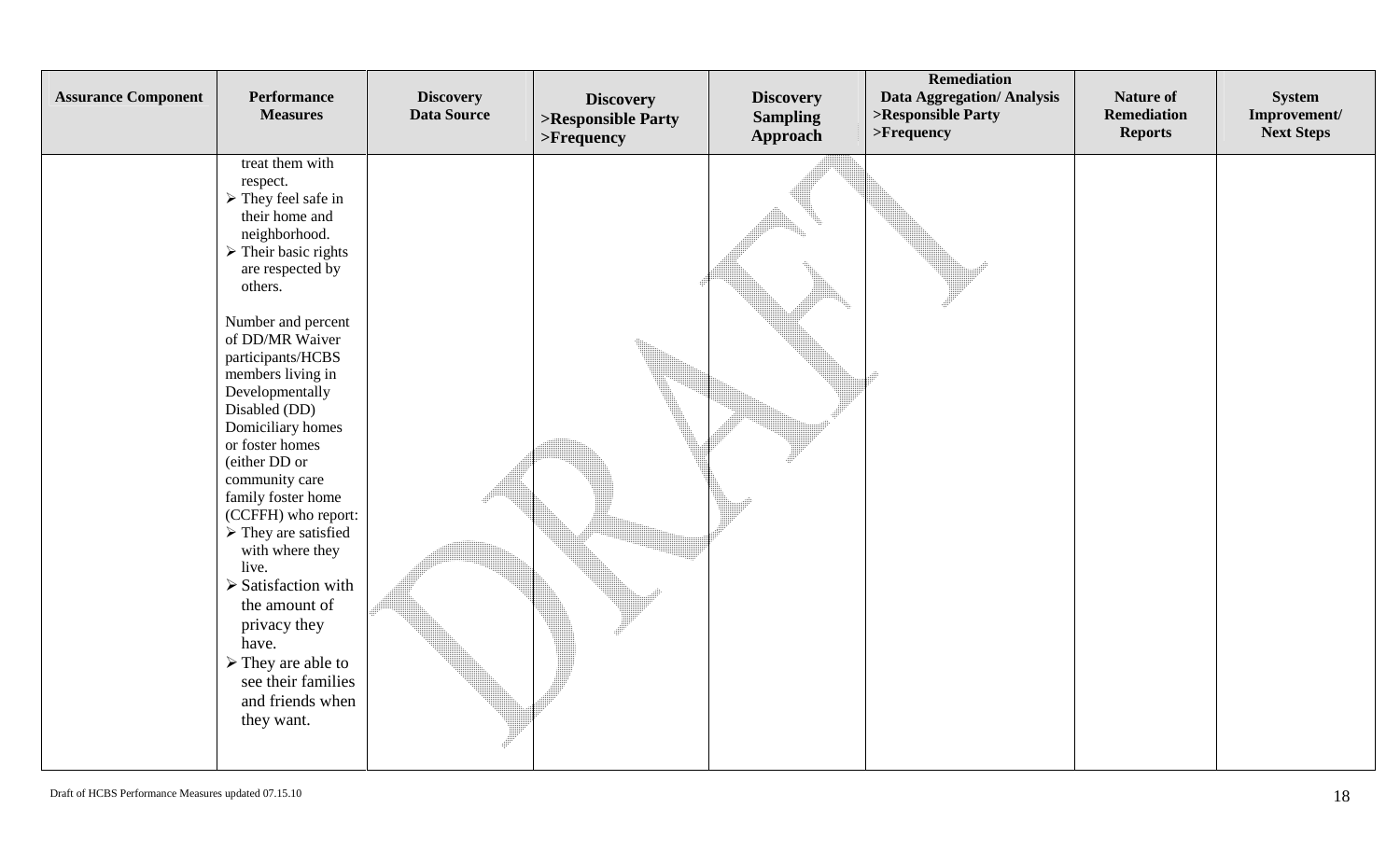| <b>Assurance Component</b> | Performance<br><b>Measures</b>                                                                                                                                                                                                                                                                                                                                                                                                                                                                                                                                                                                                                                            | <b>Discovery</b><br><b>Data Source</b> | <b>Discovery</b><br>>Responsible Party<br>>Frequency | <b>Discovery</b><br><b>Sampling</b><br>Approach | <b>Remediation</b><br><b>Data Aggregation/ Analysis</b><br>>Responsible Party<br>$>$ Frequency | Nature of<br><b>Remediation</b><br><b>Reports</b> | <b>System</b><br>Improvement/<br><b>Next Steps</b> |
|----------------------------|---------------------------------------------------------------------------------------------------------------------------------------------------------------------------------------------------------------------------------------------------------------------------------------------------------------------------------------------------------------------------------------------------------------------------------------------------------------------------------------------------------------------------------------------------------------------------------------------------------------------------------------------------------------------------|----------------------------------------|------------------------------------------------------|-------------------------------------------------|------------------------------------------------------------------------------------------------|---------------------------------------------------|----------------------------------------------------|
|                            | treat them with<br>respect.<br>$\triangleright$ They feel safe in<br>their home and<br>neighborhood.<br>$\triangleright$ Their basic rights<br>are respected by<br>others.<br>Number and percent<br>of DD/MR Waiver<br>participants/HCBS<br>members living in<br>Developmentally<br>Disabled (DD)<br>Domiciliary homes<br>or foster homes<br>(either DD or<br>community care<br>family foster home<br>(CCFFH) who report:<br>$\triangleright$ They are satisfied<br>with where they<br>live.<br>$\triangleright$ Satisfaction with<br>the amount of<br>privacy they<br>have.<br>$\triangleright$ They are able to<br>see their families<br>and friends when<br>they want. |                                        |                                                      |                                                 |                                                                                                |                                                   |                                                    |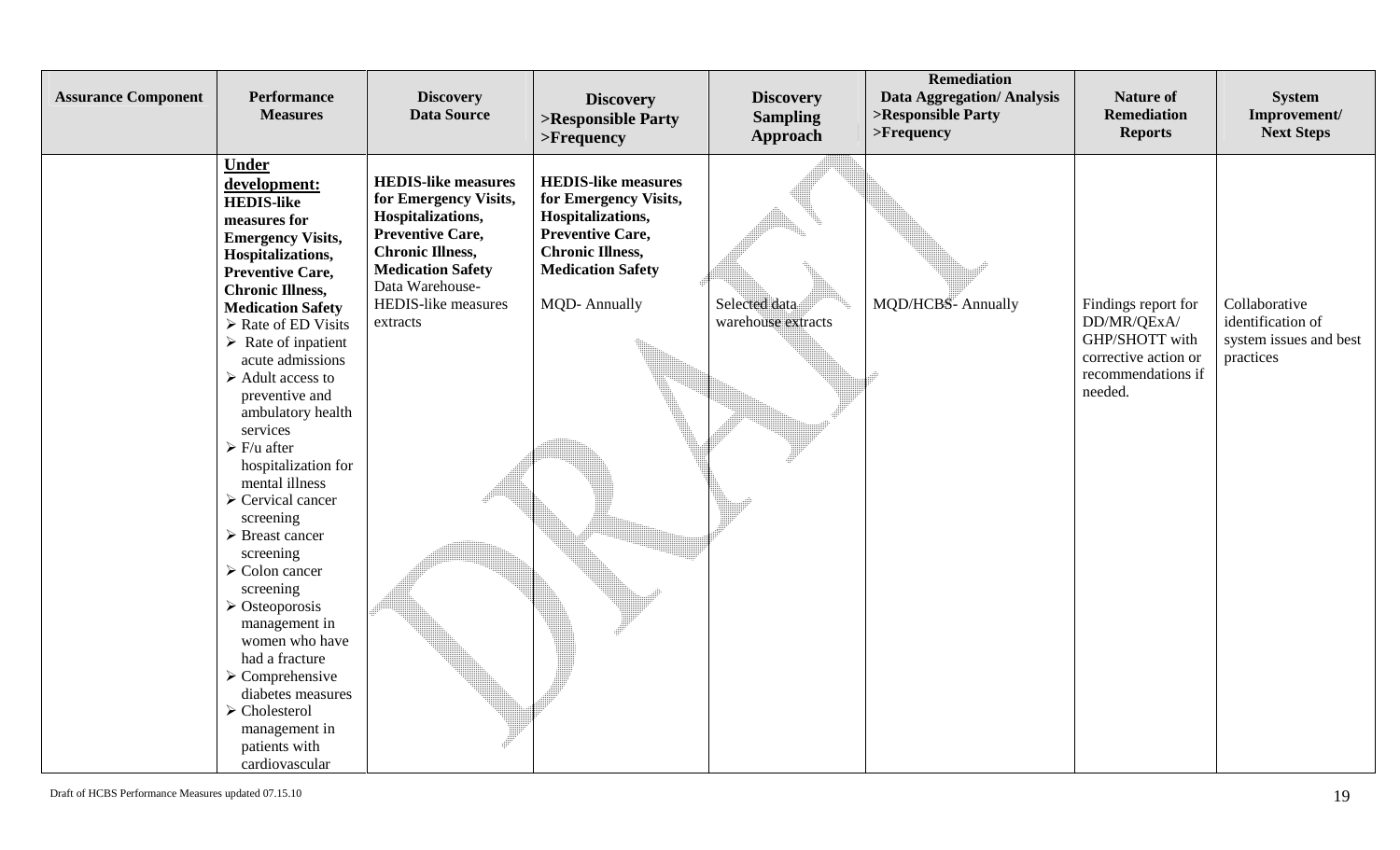| <b>Assurance Component</b> | <b>Performance</b><br><b>Measures</b>                                                                                                                                                                                                                                                                                                                                                                                                                                                                                                                                                                                                                                                                                                                                                                                            | <b>Discovery</b><br><b>Data Source</b>                                                                                                                                                                                  | <b>Discovery</b><br>>Responsible Party<br>$>$ Frequency                                                                                                                           | <b>Discovery</b><br><b>Sampling</b><br><b>Approach</b> | <b>Remediation</b><br><b>Data Aggregation/ Analysis</b><br>>Responsible Party<br>$>$ Frequency | <b>Nature of</b><br><b>Remediation</b><br><b>Reports</b>                                                      | <b>System</b><br>Improvement/<br><b>Next Steps</b>                        |
|----------------------------|----------------------------------------------------------------------------------------------------------------------------------------------------------------------------------------------------------------------------------------------------------------------------------------------------------------------------------------------------------------------------------------------------------------------------------------------------------------------------------------------------------------------------------------------------------------------------------------------------------------------------------------------------------------------------------------------------------------------------------------------------------------------------------------------------------------------------------|-------------------------------------------------------------------------------------------------------------------------------------------------------------------------------------------------------------------------|-----------------------------------------------------------------------------------------------------------------------------------------------------------------------------------|--------------------------------------------------------|------------------------------------------------------------------------------------------------|---------------------------------------------------------------------------------------------------------------|---------------------------------------------------------------------------|
|                            | <b>Under</b><br>development:<br><b>HEDIS-like</b><br>measures for<br><b>Emergency Visits,</b><br>Hospitalizations,<br><b>Preventive Care,</b><br><b>Chronic Illness,</b><br><b>Medication Safety</b><br>Rate of ED Visits<br>$\triangleright$ Rate of inpatient<br>acute admissions<br>$\triangleright$ Adult access to<br>preventive and<br>ambulatory health<br>services<br>$\triangleright$ F/u after<br>hospitalization for<br>mental illness<br>$\triangleright$ Cervical cancer<br>screening<br>$\triangleright$ Breast cancer<br>screening<br>$\triangleright$ Colon cancer<br>screening<br>$\triangleright$ Osteoporosis<br>management in<br>women who have<br>had a fracture<br>$\triangleright$ Comprehensive<br>diabetes measures<br>$\triangleright$ Cholesterol<br>management in<br>patients with<br>cardiovascular | <b>HEDIS-like measures</b><br>for Emergency Visits,<br>Hospitalizations,<br><b>Preventive Care,</b><br><b>Chronic Illness,</b><br><b>Medication Safety</b><br>Data Warehouse-<br><b>HEDIS-like measures</b><br>extracts | <b>HEDIS-like measures</b><br>for Emergency Visits,<br>Hospitalizations,<br><b>Preventive Care,</b><br><b>Chronic Illness,</b><br><b>Medication Safety</b><br><b>MQD-Annually</b> | Selected data<br>warehouse extracts                    | MQD/HCBS-Annually                                                                              | Findings report for<br>DD/MR/QExA/<br>GHP/SHOTT with<br>corrective action or<br>recommendations if<br>needed. | Collaborative<br>identification of<br>system issues and best<br>practices |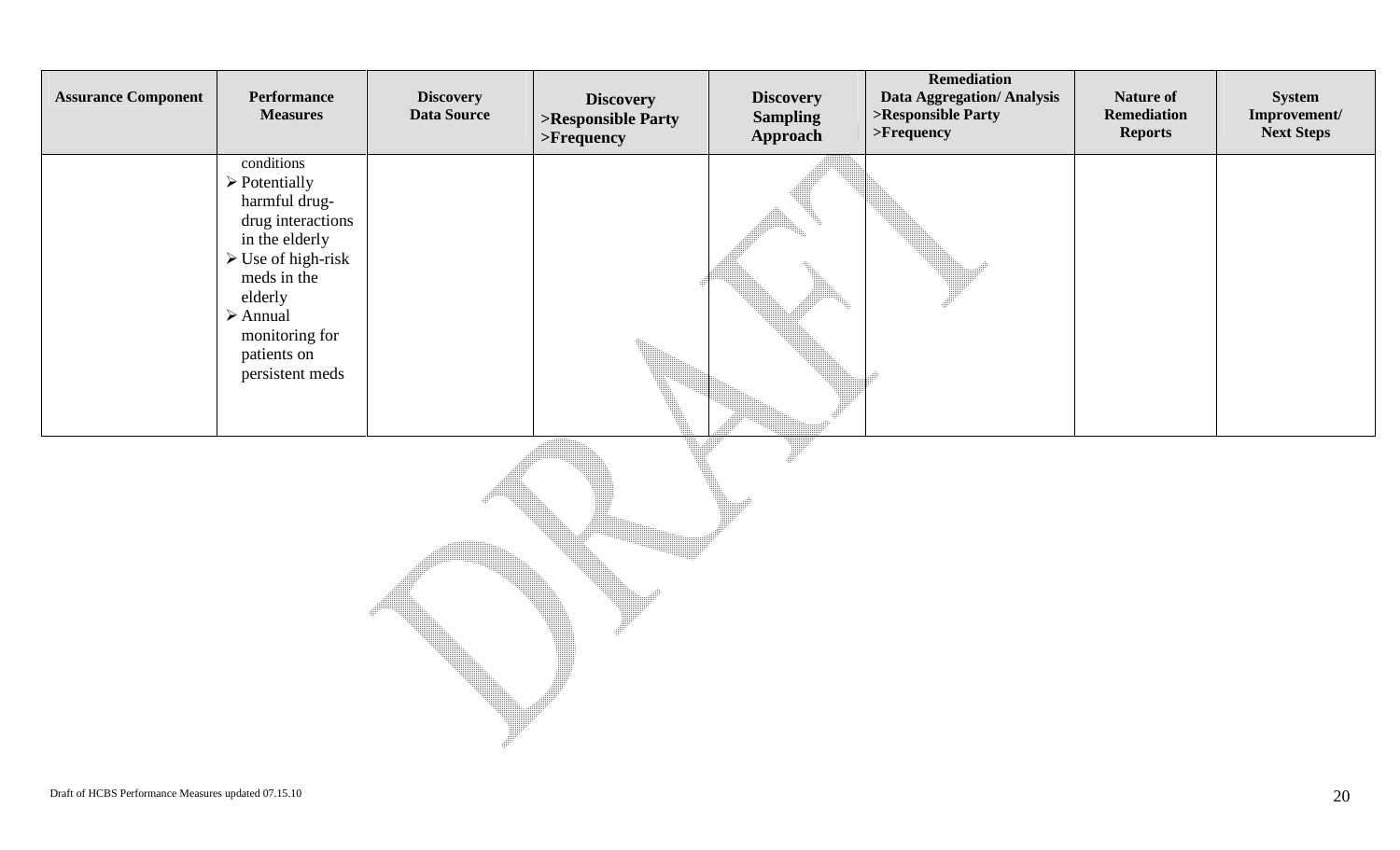| <b>Assurance Component</b> | Performance<br><b>Measures</b>                                                                                                                                                                                                                   | <b>Discovery</b><br><b>Data Source</b> | <b>Discovery</b><br>>Responsible Party<br>$>$ Frequency | <b>Discovery</b><br><b>Sampling</b><br>Approach | Remediation<br><b>Data Aggregation/ Analysis</b><br>>Responsible Party<br>$>$ Frequency | Nature of<br><b>Remediation</b><br><b>Reports</b> | System<br>Improvement/<br><b>Next Steps</b> |
|----------------------------|--------------------------------------------------------------------------------------------------------------------------------------------------------------------------------------------------------------------------------------------------|----------------------------------------|---------------------------------------------------------|-------------------------------------------------|-----------------------------------------------------------------------------------------|---------------------------------------------------|---------------------------------------------|
|                            | conditions<br>$\triangleright$ Potentially<br>harmful drug-<br>drug interactions<br>in the elderly<br>$\triangleright$ Use of high-risk<br>meds in the<br>elderly<br>$\triangleright$ Annual<br>monitoring for<br>patients on<br>persistent meds |                                        |                                                         |                                                 |                                                                                         |                                                   |                                             |
|                            |                                                                                                                                                                                                                                                  |                                        |                                                         |                                                 |                                                                                         |                                                   |                                             |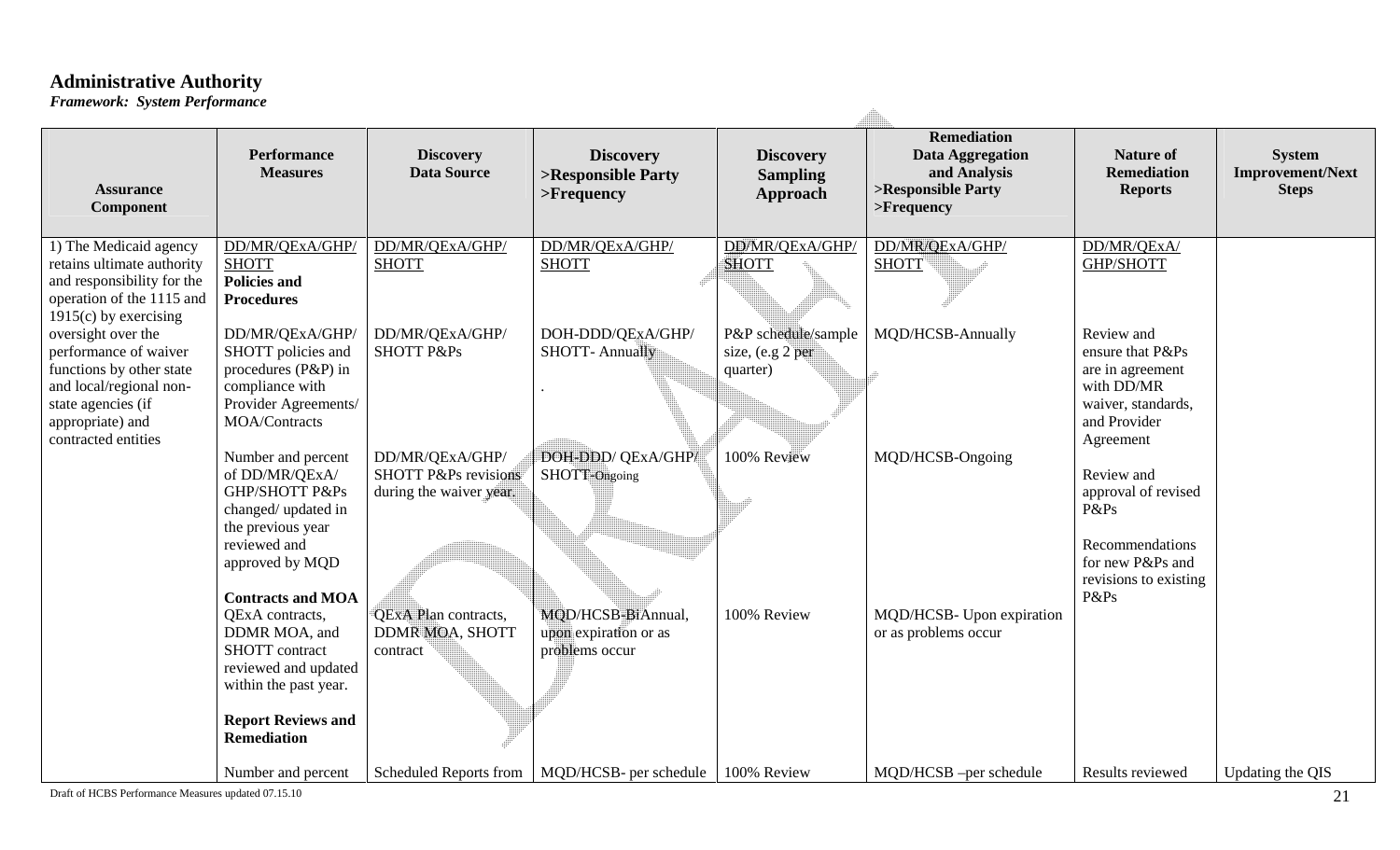### **Administrative Authority**

*Framework: System Performance*

| <b>Performance</b><br><b>Measures</b><br><b>Assurance</b><br><b>Component</b>                                                                                                                                                                                                                          | <b>Discovery</b><br><b>Data Source</b>                                        | <b>Discovery</b><br>>Responsible Party<br>$>$ Frequency       | <b>Discovery</b><br><b>Sampling</b><br>Approach        | <b>Remediation</b><br>Data Aggregation<br>and Analysis<br>>Responsible Party<br>$>$ Frequency | <b>Nature of</b><br><b>Remediation</b><br><b>Reports</b>                                                            | <b>System</b><br>Improvement/Next<br><b>Steps</b> |
|--------------------------------------------------------------------------------------------------------------------------------------------------------------------------------------------------------------------------------------------------------------------------------------------------------|-------------------------------------------------------------------------------|---------------------------------------------------------------|--------------------------------------------------------|-----------------------------------------------------------------------------------------------|---------------------------------------------------------------------------------------------------------------------|---------------------------------------------------|
| DD/MR/QExA/GHP/<br>1) The Medicaid agency<br>retains ultimate authority<br><b>SHOTT</b><br>and responsibility for the<br><b>Policies and</b><br>operation of the 1115 and<br><b>Procedures</b><br>$1915(c)$ by exercising                                                                              | DD/MR/QExA/GHP/<br><b>SHOTT</b>                                               | DD/MR/QExA/GHP/<br><b>SHOTT</b>                               | DD/MR/QExA/GHP/<br><b>SHOTT</b>                        | DD/MR/QExA/GHP/<br>SHOTT                                                                      | DD/MR/QExA/<br>GHP/SHOTT                                                                                            |                                                   |
| oversight over the<br>DD/MR/QExA/GHP/<br>performance of waiver<br>SHOTT policies and<br>functions by other state<br>procedures (P&P) in<br>and local/regional non-<br>compliance with<br>Provider Agreements/<br>state agencies (if<br><b>MOA/Contracts</b><br>appropriate) and<br>contracted entities | DD/MR/QExA/GHP/<br><b>SHOTT P&amp;Ps</b>                                      | DOH-DDD/QExA/GHP/<br><b>SHOTT-Annually</b>                    | P&P schedule/sample<br>size, $(e.g. 2 per$<br>quarter) | MQD/HCSB-Annually                                                                             | Review and<br>ensure that P&Ps<br>are in agreement<br>with DD/MR<br>waiver, standards,<br>and Provider<br>Agreement |                                                   |
| Number and percent<br>of DD/MR/QExA/<br><b>GHP/SHOTT P&amp;Ps</b><br>changed/ updated in<br>the previous year<br>reviewed and<br>approved by MQD                                                                                                                                                       | DD/MR/QExA/GHP/<br><b>SHOTT P&amp;Ps revisions</b><br>during the waiver year. | DOH-DDD/QExA/GHP/<br>SHOTT-Ongoing                            | 100% Review                                            | MQD/HCSB-Ongoing                                                                              | Review and<br>approval of revised<br>P&Ps<br>Recommendations<br>for new P&Ps and                                    |                                                   |
| <b>Contracts and MOA</b><br>QExA contracts,<br>DDMR MOA, and<br>SHOTT contract<br>reviewed and updated<br>within the past year.<br><b>Report Reviews and</b><br><b>Remediation</b>                                                                                                                     | <b>QExA Plan contracts,</b><br>DDMR MOA, SHOTT<br>contract                    | MQD/HCSB-BiAnnual,<br>upon expiration or as<br>problems occur | 100% Review                                            | MQD/HCSB- Upon expiration<br>or as problems occur                                             | revisions to existing<br>P&Ps                                                                                       |                                                   |
| Number and percent<br>Draft of HCBS Performance Measures updated 07.15.10                                                                                                                                                                                                                              |                                                                               | Scheduled Reports from   MQD/HCSB- per schedule   100% Review |                                                        | MQD/HCSB -per schedule                                                                        | Results reviewed                                                                                                    | Updating the QIS<br>21                            |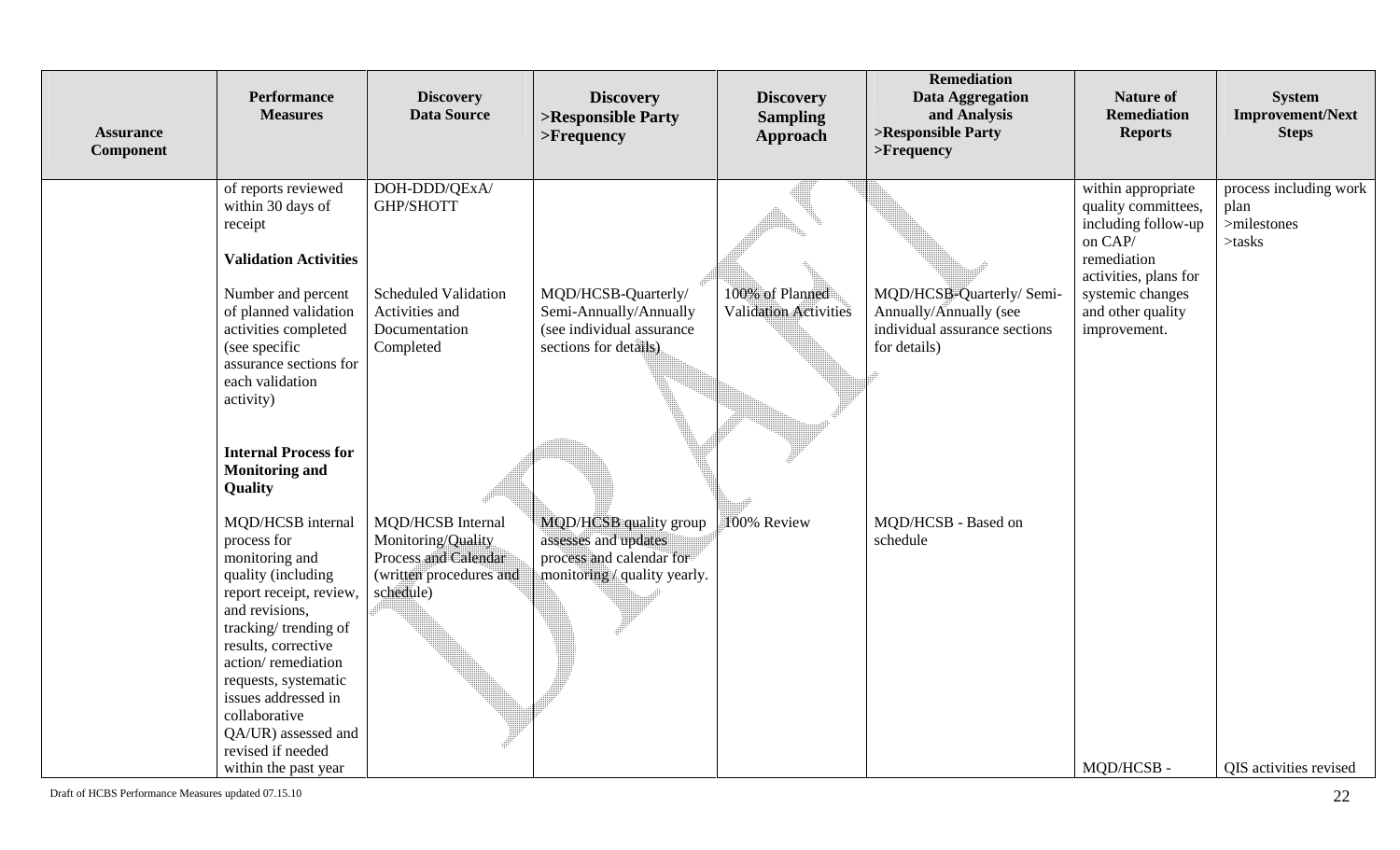| <b>Assurance</b><br>Component | Performance<br><b>Measures</b>                                                                                                                                                                                                                                                                                                 | <b>Discovery</b><br><b>Data Source</b>                                                                  | <b>Discovery</b><br>>Responsible Party<br>$>$ Frequency                                                    | <b>Discovery</b><br><b>Sampling</b><br><b>Approach</b> | <b>Remediation</b><br><b>Data Aggregation</b><br>and Analysis<br>>Responsible Party<br>$>$ Frequency | <b>Nature of</b><br><b>Remediation</b><br><b>Reports</b>                                   | <b>System</b><br>Improvement/Next<br><b>Steps</b>          |
|-------------------------------|--------------------------------------------------------------------------------------------------------------------------------------------------------------------------------------------------------------------------------------------------------------------------------------------------------------------------------|---------------------------------------------------------------------------------------------------------|------------------------------------------------------------------------------------------------------------|--------------------------------------------------------|------------------------------------------------------------------------------------------------------|--------------------------------------------------------------------------------------------|------------------------------------------------------------|
|                               | of reports reviewed<br>within 30 days of<br>receipt<br><b>Validation Activities</b>                                                                                                                                                                                                                                            | DOH-DDD/QExA/<br>GHP/SHOTT                                                                              |                                                                                                            |                                                        |                                                                                                      | within appropriate<br>quality committees,<br>including follow-up<br>on CAP/<br>remediation | process including work<br>plan<br>>milestones<br>$>$ tasks |
|                               | Number and percent<br>of planned validation<br>activities completed<br>(see specific<br>assurance sections for<br>each validation<br>activity)<br><b>Internal Process for</b><br><b>Monitoring and</b><br>Quality                                                                                                              | <b>Scheduled Validation</b><br>Activities and<br>Documentation<br>Completed                             | MQD/HCSB-Quarterly/<br>Semi-Annually/Annually<br>(see individual assurance<br>sections for details).       | 100% of Planned<br><b>Validation Activities</b>        | MQD/HCSB-Quarterly/ Semi-<br>Annually/Annually (see<br>individual assurance sections<br>for details) | activities, plans for<br>systemic changes<br>and other quality<br>improvement.             |                                                            |
|                               | MQD/HCSB internal<br>process for<br>monitoring and<br>quality (including<br>report receipt, review,<br>and revisions,<br>tracking/trending of<br>results, corrective<br>action/remediation<br>requests, systematic<br>issues addressed in<br>collaborative<br>QA/UR) assessed and<br>revised if needed<br>within the past year | MQD/HCSB Internal<br>Monitoring/Quality<br>Process and Calendar<br>(written procedures and<br>schedule) | MQD/HCSB quality group<br>assesses and updates<br>process and calendar for<br>monitoring / quality yearly. | 100% Review                                            | MQD/HCSB - Based on<br>schedule                                                                      | MQD/HCSB-                                                                                  | QIS activities revised                                     |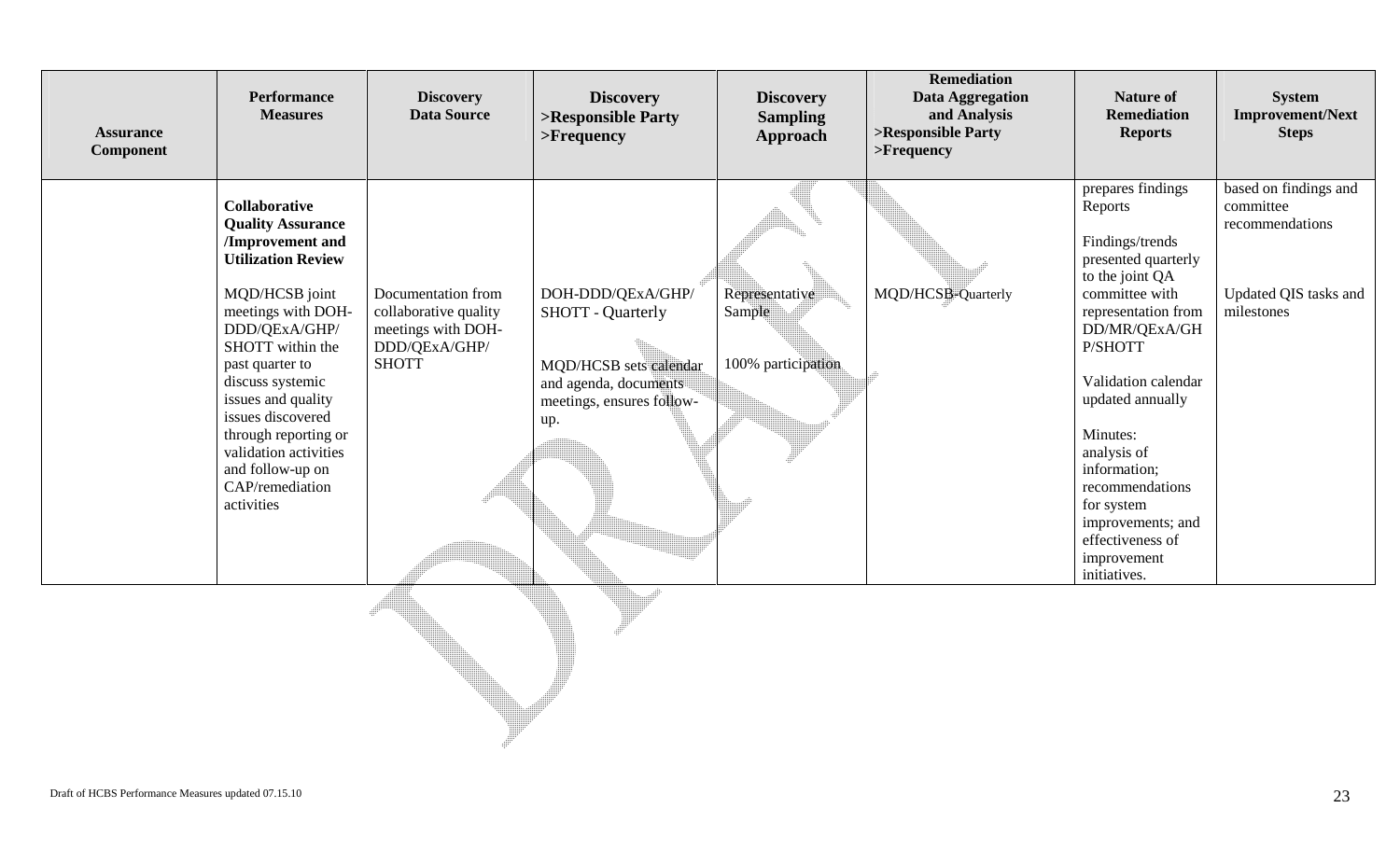| <b>Assurance</b><br>Component | <b>Performance</b><br><b>Measures</b>                                                                                                                                                                                                                                                                                                                                  | <b>Discovery</b><br><b>Data Source</b>                                                             | <b>Discovery</b><br>>Responsible Party<br>>Frequency                                                                                 | <b>Discovery</b><br><b>Sampling</b><br>Approach | <b>Remediation</b><br><b>Data Aggregation</b><br>and Analysis<br>>Responsible Party<br>$>$ Frequency | <b>Nature of</b><br><b>Remediation</b><br><b>Reports</b>                                                                                                                                                                                                                                                                                                      | <b>System</b><br>Improvement/Next<br><b>Steps</b>                                            |
|-------------------------------|------------------------------------------------------------------------------------------------------------------------------------------------------------------------------------------------------------------------------------------------------------------------------------------------------------------------------------------------------------------------|----------------------------------------------------------------------------------------------------|--------------------------------------------------------------------------------------------------------------------------------------|-------------------------------------------------|------------------------------------------------------------------------------------------------------|---------------------------------------------------------------------------------------------------------------------------------------------------------------------------------------------------------------------------------------------------------------------------------------------------------------------------------------------------------------|----------------------------------------------------------------------------------------------|
|                               | <b>Collaborative</b><br><b>Quality Assurance</b><br>/Improvement and<br><b>Utilization Review</b><br>MQD/HCSB joint<br>meetings with DOH-<br>DDD/QExA/GHP/<br>SHOTT within the<br>past quarter to<br>discuss systemic<br>issues and quality<br>issues discovered<br>through reporting or<br>validation activities<br>and follow-up on<br>CAP/remediation<br>activities | Documentation from<br>collaborative quality<br>meetings with DOH-<br>DDD/QExA/GHP/<br><b>SHOTT</b> | DOH-DDD/QExA/GHP/<br><b>SHOTT</b> - Quarterly<br>MQD/HCSB sets calendar<br>and agenda, documents<br>meetings, ensures follow-<br>up. | Representative<br>Sample<br>100% participation  | MQD/HCSB-Quarterly                                                                                   | prepares findings<br>Reports<br>Findings/trends<br>presented quarterly<br>to the joint QA<br>committee with<br>representation from<br>DD/MR/QExA/GH<br>P/SHOTT<br>Validation calendar<br>updated annually<br>Minutes:<br>analysis of<br>information;<br>recommendations<br>for system<br>improvements; and<br>effectiveness of<br>improvement<br>initiatives. | based on findings and<br>committee<br>recommendations<br>Updated QIS tasks and<br>milestones |
|                               |                                                                                                                                                                                                                                                                                                                                                                        |                                                                                                    |                                                                                                                                      |                                                 |                                                                                                      |                                                                                                                                                                                                                                                                                                                                                               |                                                                                              |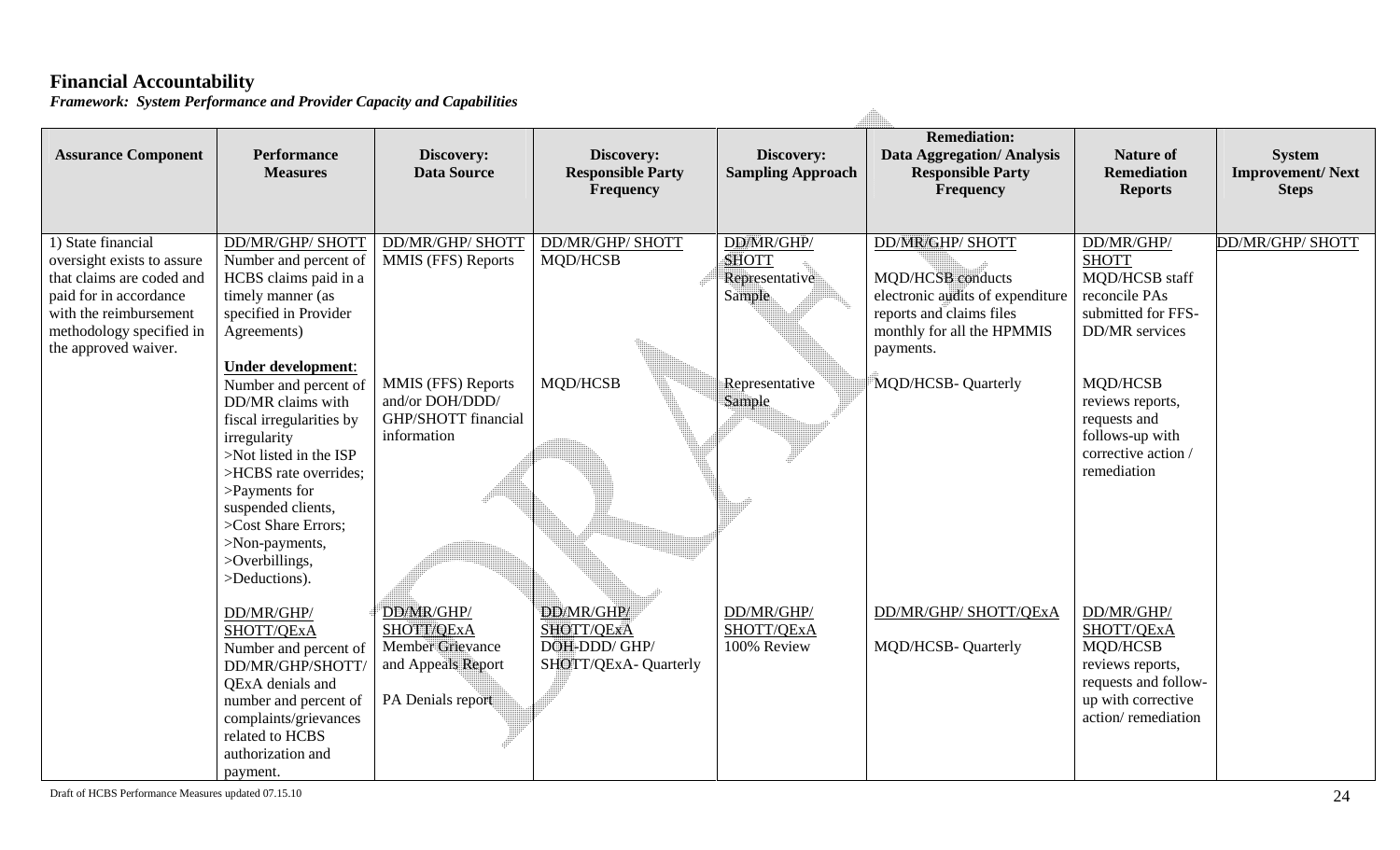#### **Financial Accountability**

*Framework: System Performance and Provider Capacity and Capabilities*

| <b>Remediation:</b><br><b>Assurance Component</b><br>Discovery:<br>Discovery:<br><b>Data Aggregation/ Analysis</b><br>Performance<br>Discovery:<br><b>Nature of</b><br><b>System</b><br><b>Responsible Party</b><br><b>Sampling Approach</b><br><b>Responsible Party</b><br><b>Remediation</b><br><b>Improvement/Next</b><br><b>Measures</b><br><b>Data Source</b><br><b>Frequency</b><br><b>Frequency</b><br><b>Reports</b><br><b>Steps</b><br>DD/MR/GHP/<br>DD/MR/GHP/ SHOTT<br>1) State financial<br>DD/MR/GHP/ SHOTT<br>DD/MR/GHP/ SHOTT<br>DD/MR/GHP/ SHOTT<br>DD/MR/GHP/<br>DD/MR/GHP/ SHOTT<br>Number and percent of<br>MMIS (FFS) Reports<br>MQD/HCSB<br><b>SHOTT</b><br>oversight exists to assure<br><b>MQD/HCSB</b> conducts<br>MQD/HCSB staff<br>that claims are coded and<br>HCBS claims paid in a<br>Representative<br>timely manner (as<br>electronic audits of expenditure<br>reconcile PAs<br>paid for in accordance<br>Sample<br>reports and claims files<br>with the reimbursement<br>specified in Provider<br>submitted for FFS-<br>monthly for all the HPMMIS<br>DD/MR services<br>methodology specified in<br>Agreements)<br>the approved waiver.<br>payments.<br><b>Under development:</b><br><b>MQD/HCSB- Quarterly</b><br>MMIS (FFS) Reports<br>MQD/HCSB<br>Representative<br>MQD/HCSB<br>Number and percent of<br>and/or DOH/DDD/<br>Sample<br>reviews reports,<br>DD/MR claims with<br>GHP/SHOTT financial<br>requests and<br>fiscal irregularities by<br>follows-up with<br>information<br>irregularity<br>corrective action /<br>>Not listed in the ISP<br>remediation<br>>HCBS rate overrides;<br>>Payments for<br>suspended clients,<br>>Cost Share Errors;<br>>Non-payments,<br>>Overbillings,<br>>Deductions).<br>DD/MR/GHP/<br>DD/MR/GHP/<br>DD/MR/GHP/<br>DD/MR/GHP/ SHOTT/QExA<br>DD/MR/GHP/<br>DD/MR/GHP/<br>SHOTT/QExA<br>SHOTT/QExA<br>SHOTT/QExA<br>SHOTT/QExA<br>SHOTT/QExA<br>DOH-DDD/GHP/<br><b>Member Grievance</b><br>100% Review<br>MQD/HCSB-Quarterly<br>MQD/HCSB<br>Number and percent of<br>and Appeals Report<br>SHOTT/QExA-Quarterly<br>reviews reports,<br>DD/MR/GHP/SHOTT/<br>requests and follow-<br>QExA denials and<br>PA Denials report<br>up with corrective<br>number and percent of<br>action/remediation<br>complaints/grievances<br>related to HCBS |  |  |  |  |
|-------------------------------------------------------------------------------------------------------------------------------------------------------------------------------------------------------------------------------------------------------------------------------------------------------------------------------------------------------------------------------------------------------------------------------------------------------------------------------------------------------------------------------------------------------------------------------------------------------------------------------------------------------------------------------------------------------------------------------------------------------------------------------------------------------------------------------------------------------------------------------------------------------------------------------------------------------------------------------------------------------------------------------------------------------------------------------------------------------------------------------------------------------------------------------------------------------------------------------------------------------------------------------------------------------------------------------------------------------------------------------------------------------------------------------------------------------------------------------------------------------------------------------------------------------------------------------------------------------------------------------------------------------------------------------------------------------------------------------------------------------------------------------------------------------------------------------------------------------------------------------------------------------------------------------------------------------------------------------------------------------------------------------------------------------------------------------------------------------------------------------------------------------------------------------------------------------------------------------------------------------------------------------------------------------------------|--|--|--|--|
|                                                                                                                                                                                                                                                                                                                                                                                                                                                                                                                                                                                                                                                                                                                                                                                                                                                                                                                                                                                                                                                                                                                                                                                                                                                                                                                                                                                                                                                                                                                                                                                                                                                                                                                                                                                                                                                                                                                                                                                                                                                                                                                                                                                                                                                                                                                   |  |  |  |  |
| authorization and<br>payment.                                                                                                                                                                                                                                                                                                                                                                                                                                                                                                                                                                                                                                                                                                                                                                                                                                                                                                                                                                                                                                                                                                                                                                                                                                                                                                                                                                                                                                                                                                                                                                                                                                                                                                                                                                                                                                                                                                                                                                                                                                                                                                                                                                                                                                                                                     |  |  |  |  |